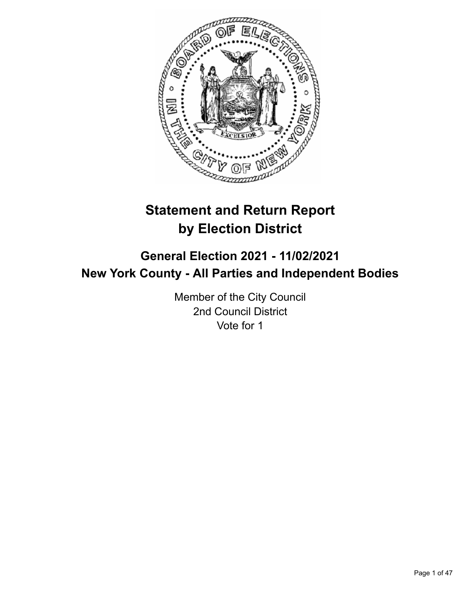

# **Statement and Return Report by Election District**

# **General Election 2021 - 11/02/2021 New York County - All Parties and Independent Bodies**

Member of the City Council 2nd Council District Vote for 1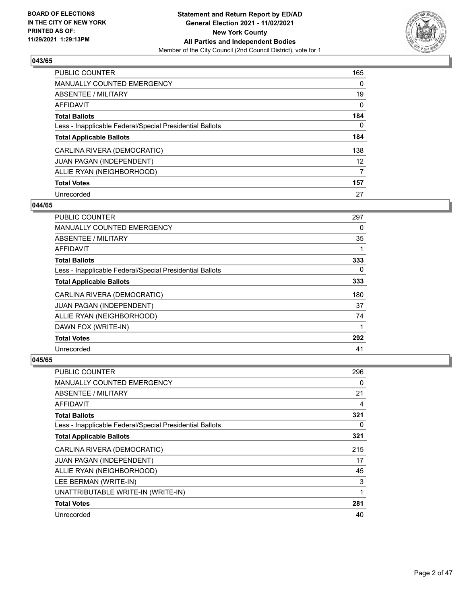

| <b>PUBLIC COUNTER</b>                                    | 165      |
|----------------------------------------------------------|----------|
| <b>MANUALLY COUNTED EMERGENCY</b>                        | $\Omega$ |
| ABSENTEE / MILITARY                                      | 19       |
| <b>AFFIDAVIT</b>                                         | 0        |
| <b>Total Ballots</b>                                     | 184      |
| Less - Inapplicable Federal/Special Presidential Ballots | 0        |
| <b>Total Applicable Ballots</b>                          | 184      |
| CARLINA RIVERA (DEMOCRATIC)                              | 138      |
| <b>JUAN PAGAN (INDEPENDENT)</b>                          | 12       |
| ALLIE RYAN (NEIGHBORHOOD)                                | 7        |
| <b>Total Votes</b>                                       | 157      |
| Unrecorded                                               | 27       |

## **044/65**

| <b>PUBLIC COUNTER</b>                                    | 297 |
|----------------------------------------------------------|-----|
| <b>MANUALLY COUNTED EMERGENCY</b>                        | 0   |
| ABSENTEE / MILITARY                                      | 35  |
| <b>AFFIDAVIT</b>                                         |     |
| <b>Total Ballots</b>                                     | 333 |
| Less - Inapplicable Federal/Special Presidential Ballots | 0   |
| <b>Total Applicable Ballots</b>                          | 333 |
| CARLINA RIVERA (DEMOCRATIC)                              | 180 |
| JUAN PAGAN (INDEPENDENT)                                 | 37  |
| ALLIE RYAN (NEIGHBORHOOD)                                | 74  |
| DAWN FOX (WRITE-IN)                                      | 1   |
| <b>Total Votes</b>                                       | 292 |
| Unrecorded                                               | 41  |

| <b>PUBLIC COUNTER</b>                                    | 296 |
|----------------------------------------------------------|-----|
| MANUALLY COUNTED EMERGENCY                               | 0   |
| ABSENTEE / MILITARY                                      | 21  |
| AFFIDAVIT                                                | 4   |
| <b>Total Ballots</b>                                     | 321 |
| Less - Inapplicable Federal/Special Presidential Ballots | 0   |
| <b>Total Applicable Ballots</b>                          | 321 |
| CARLINA RIVERA (DEMOCRATIC)                              | 215 |
| <b>JUAN PAGAN (INDEPENDENT)</b>                          | 17  |
| ALLIE RYAN (NEIGHBORHOOD)                                | 45  |
| LEE BERMAN (WRITE-IN)                                    | 3   |
| UNATTRIBUTABLE WRITE-IN (WRITE-IN)                       | 1   |
| <b>Total Votes</b>                                       | 281 |
| Unrecorded                                               | 40  |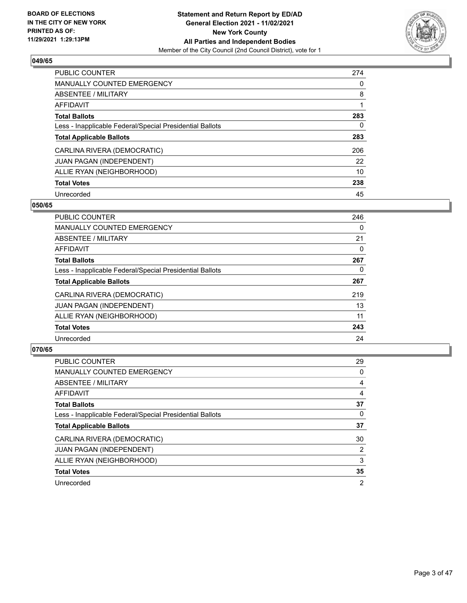

| <b>PUBLIC COUNTER</b>                                    | 274      |
|----------------------------------------------------------|----------|
| MANUALLY COUNTED EMERGENCY                               | $\Omega$ |
| ABSENTEE / MILITARY                                      | 8        |
| AFFIDAVIT                                                |          |
| <b>Total Ballots</b>                                     | 283      |
| Less - Inapplicable Federal/Special Presidential Ballots | 0        |
| <b>Total Applicable Ballots</b>                          | 283      |
| CARLINA RIVERA (DEMOCRATIC)                              | 206      |
| <b>JUAN PAGAN (INDEPENDENT)</b>                          | 22       |
| ALLIE RYAN (NEIGHBORHOOD)                                | 10       |
| <b>Total Votes</b>                                       | 238      |
| Unrecorded                                               | 45       |

#### **050/65**

| PUBLIC COUNTER                                           | 246      |
|----------------------------------------------------------|----------|
| MANUALLY COUNTED EMERGENCY                               | 0        |
| ABSENTEE / MILITARY                                      | 21       |
| <b>AFFIDAVIT</b>                                         | 0        |
| <b>Total Ballots</b>                                     | 267      |
| Less - Inapplicable Federal/Special Presidential Ballots | $\Omega$ |
| <b>Total Applicable Ballots</b>                          | 267      |
| CARLINA RIVERA (DEMOCRATIC)                              | 219      |
| <b>JUAN PAGAN (INDEPENDENT)</b>                          | 13       |
| ALLIE RYAN (NEIGHBORHOOD)                                | 11       |
| <b>Total Votes</b>                                       | 243      |
| Unrecorded                                               | 24       |

| <b>PUBLIC COUNTER</b>                                    | 29             |
|----------------------------------------------------------|----------------|
| <b>MANUALLY COUNTED EMERGENCY</b>                        | $\Omega$       |
| ABSENTEE / MILITARY                                      | 4              |
| AFFIDAVIT                                                | 4              |
| <b>Total Ballots</b>                                     | 37             |
| Less - Inapplicable Federal/Special Presidential Ballots | 0              |
| <b>Total Applicable Ballots</b>                          | 37             |
| CARLINA RIVERA (DEMOCRATIC)                              | 30             |
| JUAN PAGAN (INDEPENDENT)                                 | 2              |
| ALLIE RYAN (NEIGHBORHOOD)                                | 3              |
| <b>Total Votes</b>                                       | 35             |
| Unrecorded                                               | $\overline{2}$ |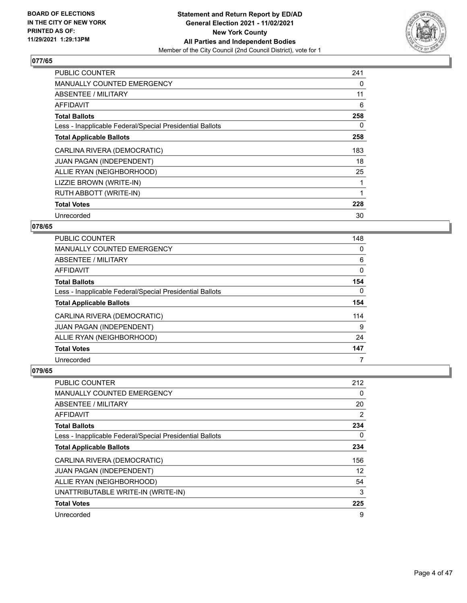

| <b>PUBLIC COUNTER</b>                                    | 241 |
|----------------------------------------------------------|-----|
| <b>MANUALLY COUNTED EMERGENCY</b>                        | 0   |
| ABSENTEE / MILITARY                                      | 11  |
| AFFIDAVIT                                                | 6   |
| <b>Total Ballots</b>                                     | 258 |
| Less - Inapplicable Federal/Special Presidential Ballots | 0   |
| <b>Total Applicable Ballots</b>                          | 258 |
| CARLINA RIVERA (DEMOCRATIC)                              | 183 |
| JUAN PAGAN (INDEPENDENT)                                 | 18  |
| ALLIE RYAN (NEIGHBORHOOD)                                | 25  |
| LIZZIE BROWN (WRITE-IN)                                  | 1   |
| RUTH ABBOTT (WRITE-IN)                                   | 1   |
| <b>Total Votes</b>                                       | 228 |
| Unrecorded                                               | 30  |

# **078/65**

| PUBLIC COUNTER                                           | 148 |
|----------------------------------------------------------|-----|
| <b>MANUALLY COUNTED EMERGENCY</b>                        | 0   |
| ABSENTEE / MILITARY                                      | 6   |
| AFFIDAVIT                                                | 0   |
| <b>Total Ballots</b>                                     | 154 |
| Less - Inapplicable Federal/Special Presidential Ballots | 0   |
| <b>Total Applicable Ballots</b>                          | 154 |
| CARLINA RIVERA (DEMOCRATIC)                              | 114 |
| JUAN PAGAN (INDEPENDENT)                                 | 9   |
| ALLIE RYAN (NEIGHBORHOOD)                                | 24  |
| <b>Total Votes</b>                                       | 147 |
| Unrecorded                                               | 7   |

| PUBLIC COUNTER                                           | 212 |
|----------------------------------------------------------|-----|
| <b>MANUALLY COUNTED EMERGENCY</b>                        | 0   |
| ABSENTEE / MILITARY                                      | 20  |
| AFFIDAVIT                                                | 2   |
| <b>Total Ballots</b>                                     | 234 |
| Less - Inapplicable Federal/Special Presidential Ballots | 0   |
| <b>Total Applicable Ballots</b>                          | 234 |
| CARLINA RIVERA (DEMOCRATIC)                              | 156 |
| <b>JUAN PAGAN (INDEPENDENT)</b>                          | 12  |
| ALLIE RYAN (NEIGHBORHOOD)                                | 54  |
| UNATTRIBUTABLE WRITE-IN (WRITE-IN)                       | 3   |
| <b>Total Votes</b>                                       | 225 |
| Unrecorded                                               | 9   |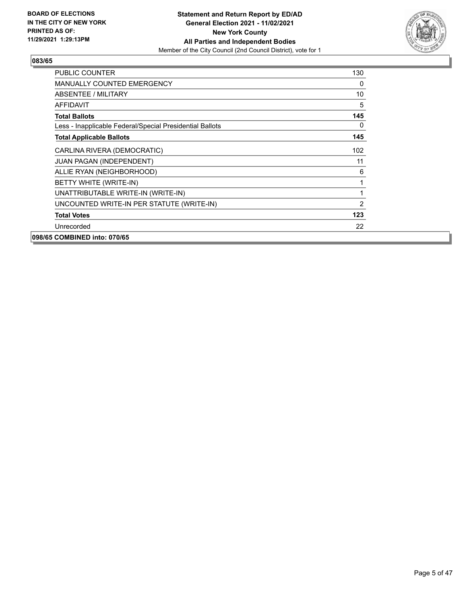

| <b>PUBLIC COUNTER</b>                                    | 130            |
|----------------------------------------------------------|----------------|
| <b>MANUALLY COUNTED EMERGENCY</b>                        | $\Omega$       |
| ABSENTEE / MILITARY                                      | 10             |
| <b>AFFIDAVIT</b>                                         | 5              |
| <b>Total Ballots</b>                                     | 145            |
| Less - Inapplicable Federal/Special Presidential Ballots | 0              |
| <b>Total Applicable Ballots</b>                          | 145            |
| CARLINA RIVERA (DEMOCRATIC)                              | 102            |
| <b>JUAN PAGAN (INDEPENDENT)</b>                          | 11             |
| ALLIE RYAN (NEIGHBORHOOD)                                | 6              |
| BETTY WHITE (WRITE-IN)                                   | 1              |
| UNATTRIBUTABLE WRITE-IN (WRITE-IN)                       | 1              |
| UNCOUNTED WRITE-IN PER STATUTE (WRITE-IN)                | $\overline{2}$ |
| <b>Total Votes</b>                                       | 123            |
| Unrecorded                                               | 22             |
| 098/65 COMBINED into: 070/65                             |                |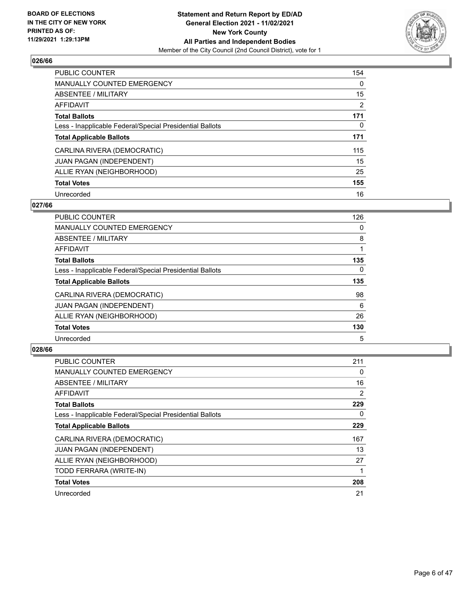

| <b>PUBLIC COUNTER</b>                                    | 154      |
|----------------------------------------------------------|----------|
| <b>MANUALLY COUNTED EMERGENCY</b>                        | $\Omega$ |
| ABSENTEE / MILITARY                                      | 15       |
| <b>AFFIDAVIT</b>                                         | 2        |
| <b>Total Ballots</b>                                     | 171      |
| Less - Inapplicable Federal/Special Presidential Ballots | 0        |
| <b>Total Applicable Ballots</b>                          | 171      |
| CARLINA RIVERA (DEMOCRATIC)                              | 115      |
| <b>JUAN PAGAN (INDEPENDENT)</b>                          | 15       |
| ALLIE RYAN (NEIGHBORHOOD)                                | 25       |
| <b>Total Votes</b>                                       | 155      |
| Unrecorded                                               | 16       |

#### **027/66**

| PUBLIC COUNTER                                           | 126      |
|----------------------------------------------------------|----------|
| <b>MANUALLY COUNTED EMERGENCY</b>                        | 0        |
| ABSENTEE / MILITARY                                      | 8        |
| <b>AFFIDAVIT</b>                                         |          |
| <b>Total Ballots</b>                                     | 135      |
| Less - Inapplicable Federal/Special Presidential Ballots | $\Omega$ |
| <b>Total Applicable Ballots</b>                          | 135      |
| CARLINA RIVERA (DEMOCRATIC)                              | 98       |
| <b>JUAN PAGAN (INDEPENDENT)</b>                          | 6        |
| ALLIE RYAN (NEIGHBORHOOD)                                | 26       |
| <b>Total Votes</b>                                       | 130      |
| Unrecorded                                               | 5        |

| <b>PUBLIC COUNTER</b>                                    | 211            |
|----------------------------------------------------------|----------------|
| <b>MANUALLY COUNTED EMERGENCY</b>                        | 0              |
| ABSENTEE / MILITARY                                      | 16             |
| AFFIDAVIT                                                | $\overline{2}$ |
| <b>Total Ballots</b>                                     | 229            |
| Less - Inapplicable Federal/Special Presidential Ballots | 0              |
| <b>Total Applicable Ballots</b>                          | 229            |
| CARLINA RIVERA (DEMOCRATIC)                              | 167            |
| <b>JUAN PAGAN (INDEPENDENT)</b>                          | 13             |
| ALLIE RYAN (NEIGHBORHOOD)                                | 27             |
| TODD FERRARA (WRITE-IN)                                  |                |
| <b>Total Votes</b>                                       | 208            |
| Unrecorded                                               | 21             |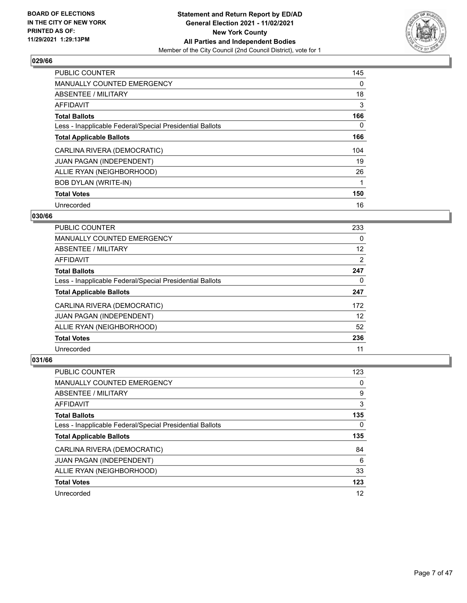

| <b>PUBLIC COUNTER</b>                                    | 145 |
|----------------------------------------------------------|-----|
| <b>MANUALLY COUNTED EMERGENCY</b>                        | 0   |
| ABSENTEE / MILITARY                                      | 18  |
| AFFIDAVIT                                                | 3   |
| <b>Total Ballots</b>                                     | 166 |
| Less - Inapplicable Federal/Special Presidential Ballots | 0   |
| <b>Total Applicable Ballots</b>                          | 166 |
| CARLINA RIVERA (DEMOCRATIC)                              | 104 |
| <b>JUAN PAGAN (INDEPENDENT)</b>                          | 19  |
| ALLIE RYAN (NEIGHBORHOOD)                                | 26  |
| <b>BOB DYLAN (WRITE-IN)</b>                              | 1   |
| <b>Total Votes</b>                                       | 150 |
| Unrecorded                                               | 16  |

# **030/66**

| <b>PUBLIC COUNTER</b>                                    | 233 |
|----------------------------------------------------------|-----|
| <b>MANUALLY COUNTED EMERGENCY</b>                        | 0   |
| ABSENTEE / MILITARY                                      | 12  |
| <b>AFFIDAVIT</b>                                         | 2   |
| <b>Total Ballots</b>                                     | 247 |
| Less - Inapplicable Federal/Special Presidential Ballots | 0   |
| <b>Total Applicable Ballots</b>                          | 247 |
| CARLINA RIVERA (DEMOCRATIC)                              | 172 |
| JUAN PAGAN (INDEPENDENT)                                 | 12  |
| ALLIE RYAN (NEIGHBORHOOD)                                | 52  |
| <b>Total Votes</b>                                       | 236 |
| Unrecorded                                               | 11  |

| PUBLIC COUNTER                                           | 123      |
|----------------------------------------------------------|----------|
| <b>MANUALLY COUNTED EMERGENCY</b>                        | $\Omega$ |
| ABSENTEE / MILITARY                                      | 9        |
| AFFIDAVIT                                                | 3        |
| <b>Total Ballots</b>                                     | 135      |
| Less - Inapplicable Federal/Special Presidential Ballots | 0        |
| <b>Total Applicable Ballots</b>                          | 135      |
| CARLINA RIVERA (DEMOCRATIC)                              | 84       |
| <b>JUAN PAGAN (INDEPENDENT)</b>                          | 6        |
| ALLIE RYAN (NEIGHBORHOOD)                                | 33       |
| <b>Total Votes</b>                                       | 123      |
| Unrecorded                                               | 12       |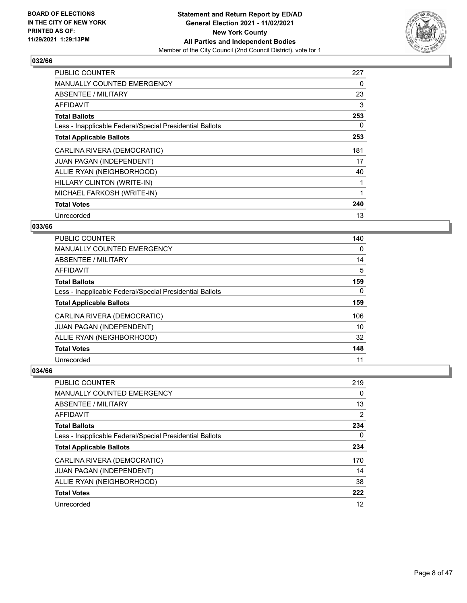

| <b>PUBLIC COUNTER</b>                                    | 227 |
|----------------------------------------------------------|-----|
| <b>MANUALLY COUNTED EMERGENCY</b>                        | 0   |
| <b>ABSENTEE / MILITARY</b>                               | 23  |
| <b>AFFIDAVIT</b>                                         | 3   |
| <b>Total Ballots</b>                                     | 253 |
| Less - Inapplicable Federal/Special Presidential Ballots | 0   |
| <b>Total Applicable Ballots</b>                          | 253 |
| CARLINA RIVERA (DEMOCRATIC)                              | 181 |
| JUAN PAGAN (INDEPENDENT)                                 | 17  |
| ALLIE RYAN (NEIGHBORHOOD)                                | 40  |
| HILLARY CLINTON (WRITE-IN)                               |     |
| MICHAEL FARKOSH (WRITE-IN)                               |     |
| <b>Total Votes</b>                                       | 240 |
| Unrecorded                                               | 13  |

# **033/66**

| <b>PUBLIC COUNTER</b>                                    | 140      |
|----------------------------------------------------------|----------|
| <b>MANUALLY COUNTED EMERGENCY</b>                        | 0        |
| ABSENTEE / MILITARY                                      | 14       |
| <b>AFFIDAVIT</b>                                         | 5        |
| <b>Total Ballots</b>                                     | 159      |
| Less - Inapplicable Federal/Special Presidential Ballots | $\Omega$ |
| <b>Total Applicable Ballots</b>                          | 159      |
| CARLINA RIVERA (DEMOCRATIC)                              | 106      |
| <b>JUAN PAGAN (INDEPENDENT)</b>                          | 10       |
| ALLIE RYAN (NEIGHBORHOOD)                                | 32       |
| <b>Total Votes</b>                                       | 148      |
| Unrecorded                                               | 11       |

| <b>PUBLIC COUNTER</b>                                    | 219            |
|----------------------------------------------------------|----------------|
| <b>MANUALLY COUNTED EMERGENCY</b>                        | 0              |
| ABSENTEE / MILITARY                                      | 13             |
| AFFIDAVIT                                                | $\overline{2}$ |
| <b>Total Ballots</b>                                     | 234            |
| Less - Inapplicable Federal/Special Presidential Ballots | 0              |
| <b>Total Applicable Ballots</b>                          | 234            |
| CARLINA RIVERA (DEMOCRATIC)                              | 170            |
| <b>JUAN PAGAN (INDEPENDENT)</b>                          | 14             |
| ALLIE RYAN (NEIGHBORHOOD)                                | 38             |
| <b>Total Votes</b>                                       | 222            |
| Unrecorded                                               | 12             |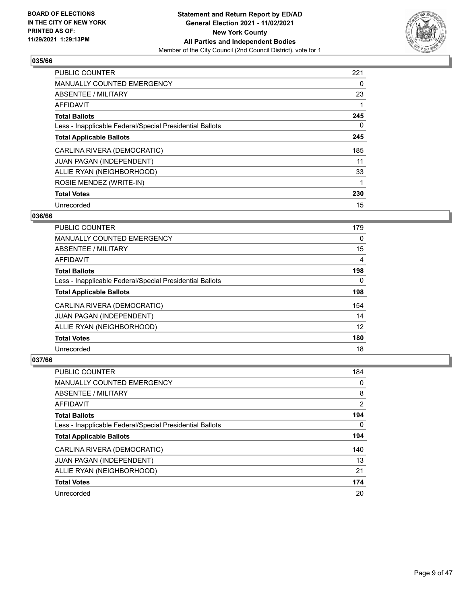

| <b>PUBLIC COUNTER</b>                                    | 221 |
|----------------------------------------------------------|-----|
| <b>MANUALLY COUNTED EMERGENCY</b>                        | 0   |
| ABSENTEE / MILITARY                                      | 23  |
| <b>AFFIDAVIT</b>                                         |     |
| <b>Total Ballots</b>                                     | 245 |
| Less - Inapplicable Federal/Special Presidential Ballots | 0   |
| <b>Total Applicable Ballots</b>                          | 245 |
| CARLINA RIVERA (DEMOCRATIC)                              | 185 |
| <b>JUAN PAGAN (INDEPENDENT)</b>                          | 11  |
| ALLIE RYAN (NEIGHBORHOOD)                                | 33  |
| ROSIE MENDEZ (WRITE-IN)                                  |     |
| <b>Total Votes</b>                                       | 230 |
| Unrecorded                                               | 15  |

## **036/66**

| <b>PUBLIC COUNTER</b>                                    | 179 |
|----------------------------------------------------------|-----|
| <b>MANUALLY COUNTED EMERGENCY</b>                        | 0   |
| ABSENTEE / MILITARY                                      | 15  |
| AFFIDAVIT                                                | 4   |
| <b>Total Ballots</b>                                     | 198 |
| Less - Inapplicable Federal/Special Presidential Ballots | 0   |
| <b>Total Applicable Ballots</b>                          | 198 |
| CARLINA RIVERA (DEMOCRATIC)                              | 154 |
| JUAN PAGAN (INDEPENDENT)                                 | 14  |
| ALLIE RYAN (NEIGHBORHOOD)                                | 12  |
| <b>Total Votes</b>                                       | 180 |
| Unrecorded                                               | 18  |

| <b>PUBLIC COUNTER</b>                                    | 184      |
|----------------------------------------------------------|----------|
| <b>MANUALLY COUNTED EMERGENCY</b>                        | 0        |
| ABSENTEE / MILITARY                                      | 8        |
| AFFIDAVIT                                                | 2        |
| <b>Total Ballots</b>                                     | 194      |
| Less - Inapplicable Federal/Special Presidential Ballots | $\Omega$ |
| <b>Total Applicable Ballots</b>                          | 194      |
| CARLINA RIVERA (DEMOCRATIC)                              | 140      |
| <b>JUAN PAGAN (INDEPENDENT)</b>                          | 13       |
| ALLIE RYAN (NEIGHBORHOOD)                                | 21       |
| <b>Total Votes</b>                                       | 174      |
| Unrecorded                                               | 20       |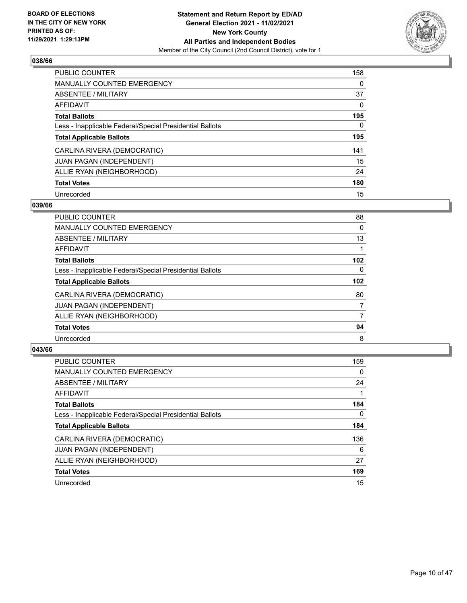

| <b>PUBLIC COUNTER</b>                                    | 158      |
|----------------------------------------------------------|----------|
| <b>MANUALLY COUNTED EMERGENCY</b>                        | $\Omega$ |
| <b>ABSENTEE / MILITARY</b>                               | 37       |
| <b>AFFIDAVIT</b>                                         | $\Omega$ |
| <b>Total Ballots</b>                                     | 195      |
| Less - Inapplicable Federal/Special Presidential Ballots | 0        |
| <b>Total Applicable Ballots</b>                          | 195      |
| CARLINA RIVERA (DEMOCRATIC)                              | 141      |
| <b>JUAN PAGAN (INDEPENDENT)</b>                          | 15       |
| ALLIE RYAN (NEIGHBORHOOD)                                | 24       |
| <b>Total Votes</b>                                       | 180      |
| Unrecorded                                               | 15       |

#### **039/66**

| PUBLIC COUNTER                                           | 88  |
|----------------------------------------------------------|-----|
| MANUALLY COUNTED EMERGENCY                               | 0   |
| ABSENTEE / MILITARY                                      | 13  |
| AFFIDAVIT                                                |     |
| <b>Total Ballots</b>                                     | 102 |
| Less - Inapplicable Federal/Special Presidential Ballots | 0   |
| <b>Total Applicable Ballots</b>                          | 102 |
| CARLINA RIVERA (DEMOCRATIC)                              | 80  |
| <b>JUAN PAGAN (INDEPENDENT)</b>                          | 7   |
| ALLIE RYAN (NEIGHBORHOOD)                                | 7   |
| <b>Total Votes</b>                                       | 94  |
| Unrecorded                                               | 8   |

| <b>PUBLIC COUNTER</b>                                    | 159      |
|----------------------------------------------------------|----------|
| <b>MANUALLY COUNTED EMERGENCY</b>                        | $\Omega$ |
| ABSENTEE / MILITARY                                      | 24       |
| <b>AFFIDAVIT</b>                                         |          |
| <b>Total Ballots</b>                                     | 184      |
| Less - Inapplicable Federal/Special Presidential Ballots | $\Omega$ |
| <b>Total Applicable Ballots</b>                          | 184      |
| CARLINA RIVERA (DEMOCRATIC)                              | 136      |
| <b>JUAN PAGAN (INDEPENDENT)</b>                          | 6        |
| ALLIE RYAN (NEIGHBORHOOD)                                | 27       |
| <b>Total Votes</b>                                       | 169      |
| Unrecorded                                               | 15       |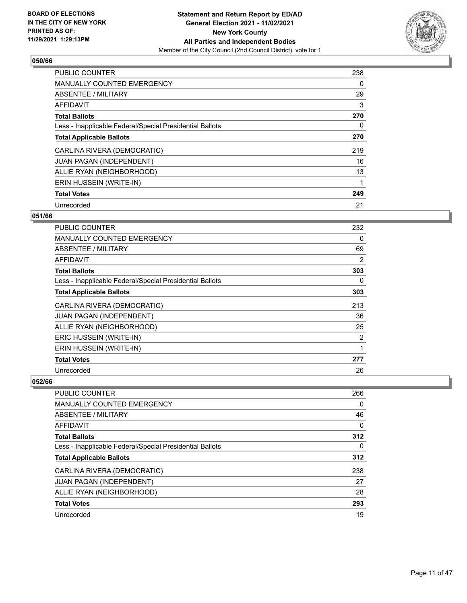

| <b>PUBLIC COUNTER</b>                                    | 238 |
|----------------------------------------------------------|-----|
| <b>MANUALLY COUNTED EMERGENCY</b>                        | 0   |
| ABSENTEE / MILITARY                                      | 29  |
| <b>AFFIDAVIT</b>                                         | 3   |
| <b>Total Ballots</b>                                     | 270 |
| Less - Inapplicable Federal/Special Presidential Ballots | 0   |
| <b>Total Applicable Ballots</b>                          | 270 |
| CARLINA RIVERA (DEMOCRATIC)                              | 219 |
| JUAN PAGAN (INDEPENDENT)                                 | 16  |
| ALLIE RYAN (NEIGHBORHOOD)                                | 13  |
| ERIN HUSSEIN (WRITE-IN)                                  | 1   |
| <b>Total Votes</b>                                       | 249 |
| Unrecorded                                               | 21  |

# **051/66**

| PUBLIC COUNTER                                           | 232 |
|----------------------------------------------------------|-----|
| MANUALLY COUNTED EMERGENCY                               | 0   |
| ABSENTEE / MILITARY                                      | 69  |
| AFFIDAVIT                                                | 2   |
| <b>Total Ballots</b>                                     | 303 |
| Less - Inapplicable Federal/Special Presidential Ballots | 0   |
| <b>Total Applicable Ballots</b>                          | 303 |
| CARLINA RIVERA (DEMOCRATIC)                              | 213 |
| <b>JUAN PAGAN (INDEPENDENT)</b>                          | 36  |
| ALLIE RYAN (NEIGHBORHOOD)                                | 25  |
| ERIC HUSSEIN (WRITE-IN)                                  | 2   |
| ERIN HUSSEIN (WRITE-IN)                                  | 1   |
| <b>Total Votes</b>                                       | 277 |
| Unrecorded                                               | 26  |

| PUBLIC COUNTER                                           | 266 |
|----------------------------------------------------------|-----|
| <b>MANUALLY COUNTED EMERGENCY</b>                        | 0   |
| ABSENTEE / MILITARY                                      | 46  |
| AFFIDAVIT                                                | 0   |
| <b>Total Ballots</b>                                     | 312 |
| Less - Inapplicable Federal/Special Presidential Ballots | 0   |
| <b>Total Applicable Ballots</b>                          | 312 |
| CARLINA RIVERA (DEMOCRATIC)                              | 238 |
| <b>JUAN PAGAN (INDEPENDENT)</b>                          | 27  |
| ALLIE RYAN (NEIGHBORHOOD)                                | 28  |
| <b>Total Votes</b>                                       | 293 |
| Unrecorded                                               | 19  |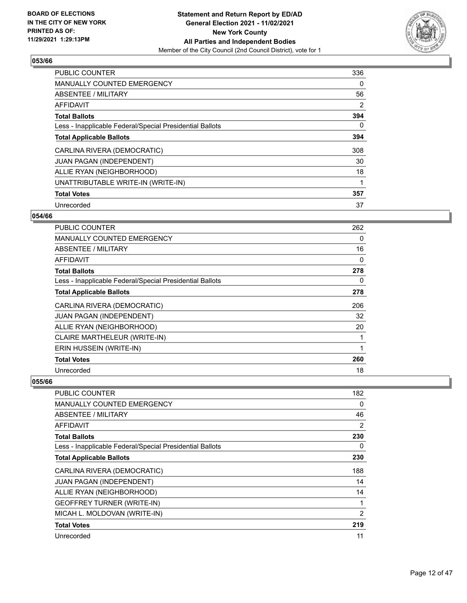

| PUBLIC COUNTER                                           | 336 |
|----------------------------------------------------------|-----|
| <b>MANUALLY COUNTED EMERGENCY</b>                        | 0   |
| ABSENTEE / MILITARY                                      | 56  |
| AFFIDAVIT                                                | 2   |
| <b>Total Ballots</b>                                     | 394 |
| Less - Inapplicable Federal/Special Presidential Ballots | 0   |
| <b>Total Applicable Ballots</b>                          | 394 |
| CARLINA RIVERA (DEMOCRATIC)                              | 308 |
| <b>JUAN PAGAN (INDEPENDENT)</b>                          | 30  |
| ALLIE RYAN (NEIGHBORHOOD)                                | 18  |
| UNATTRIBUTABLE WRITE-IN (WRITE-IN)                       |     |
| <b>Total Votes</b>                                       | 357 |
| Unrecorded                                               | 37  |

# **054/66**

| <b>PUBLIC COUNTER</b>                                    | 262 |
|----------------------------------------------------------|-----|
| <b>MANUALLY COUNTED EMERGENCY</b>                        | 0   |
| ABSENTEE / MILITARY                                      | 16  |
| AFFIDAVIT                                                | 0   |
| <b>Total Ballots</b>                                     | 278 |
| Less - Inapplicable Federal/Special Presidential Ballots | 0   |
| <b>Total Applicable Ballots</b>                          | 278 |
| CARLINA RIVERA (DEMOCRATIC)                              | 206 |
| <b>JUAN PAGAN (INDEPENDENT)</b>                          | 32  |
| ALLIE RYAN (NEIGHBORHOOD)                                | 20  |
| CLAIRE MARTHELEUR (WRITE-IN)                             | 1   |
| ERIN HUSSEIN (WRITE-IN)                                  | 1   |
| <b>Total Votes</b>                                       | 260 |
| Unrecorded                                               | 18  |

| <b>PUBLIC COUNTER</b>                                    | 182            |
|----------------------------------------------------------|----------------|
| <b>MANUALLY COUNTED EMERGENCY</b>                        | $\Omega$       |
| ABSENTEE / MILITARY                                      | 46             |
| AFFIDAVIT                                                | 2              |
| <b>Total Ballots</b>                                     | 230            |
| Less - Inapplicable Federal/Special Presidential Ballots | 0              |
| <b>Total Applicable Ballots</b>                          | 230            |
| CARLINA RIVERA (DEMOCRATIC)                              | 188            |
| JUAN PAGAN (INDEPENDENT)                                 | 14             |
| ALLIE RYAN (NEIGHBORHOOD)                                | 14             |
| <b>GEOFFREY TURNER (WRITE-IN)</b>                        | 1              |
| MICAH L. MOLDOVAN (WRITE-IN)                             | $\overline{2}$ |
| <b>Total Votes</b>                                       | 219            |
| Unrecorded                                               | 11             |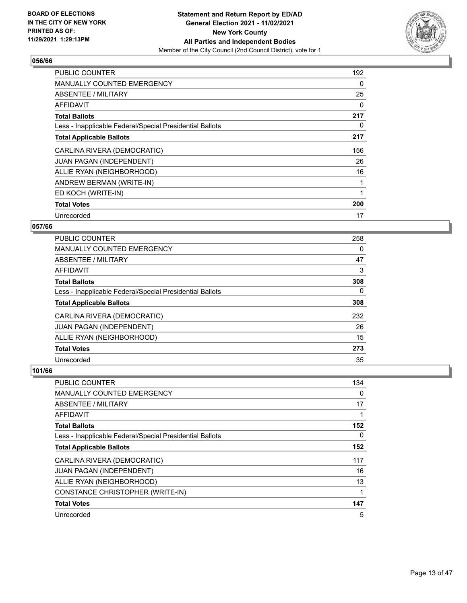

| <b>PUBLIC COUNTER</b>                                    | 192 |
|----------------------------------------------------------|-----|
| <b>MANUALLY COUNTED EMERGENCY</b>                        | 0   |
| <b>ABSENTEE / MILITARY</b>                               | 25  |
| AFFIDAVIT                                                | 0   |
| <b>Total Ballots</b>                                     | 217 |
| Less - Inapplicable Federal/Special Presidential Ballots | 0   |
| <b>Total Applicable Ballots</b>                          | 217 |
| CARLINA RIVERA (DEMOCRATIC)                              | 156 |
| JUAN PAGAN (INDEPENDENT)                                 | 26  |
| ALLIE RYAN (NEIGHBORHOOD)                                | 16  |
| ANDREW BERMAN (WRITE-IN)                                 |     |
| ED KOCH (WRITE-IN)                                       | 1   |
| <b>Total Votes</b>                                       | 200 |
| Unrecorded                                               | 17  |

# **057/66**

| <b>PUBLIC COUNTER</b>                                    | 258      |
|----------------------------------------------------------|----------|
| <b>MANUALLY COUNTED EMERGENCY</b>                        | 0        |
| ABSENTEE / MILITARY                                      | 47       |
| <b>AFFIDAVIT</b>                                         | 3        |
| <b>Total Ballots</b>                                     | 308      |
| Less - Inapplicable Federal/Special Presidential Ballots | $\Omega$ |
| <b>Total Applicable Ballots</b>                          | 308      |
| CARLINA RIVERA (DEMOCRATIC)                              | 232      |
| JUAN PAGAN (INDEPENDENT)                                 | 26       |
| ALLIE RYAN (NEIGHBORHOOD)                                | 15       |
| <b>Total Votes</b>                                       | 273      |
| Unrecorded                                               | 35       |

| PUBLIC COUNTER                                           | 134 |
|----------------------------------------------------------|-----|
| MANUALLY COUNTED EMERGENCY                               | 0   |
| ABSENTEE / MILITARY                                      | 17  |
| AFFIDAVIT                                                |     |
| <b>Total Ballots</b>                                     | 152 |
| Less - Inapplicable Federal/Special Presidential Ballots | 0   |
| <b>Total Applicable Ballots</b>                          | 152 |
| CARLINA RIVERA (DEMOCRATIC)                              | 117 |
| JUAN PAGAN (INDEPENDENT)                                 | 16  |
| ALLIE RYAN (NEIGHBORHOOD)                                | 13  |
| CONSTANCE CHRISTOPHER (WRITE-IN)                         | 1   |
| <b>Total Votes</b>                                       | 147 |
| Unrecorded                                               | 5   |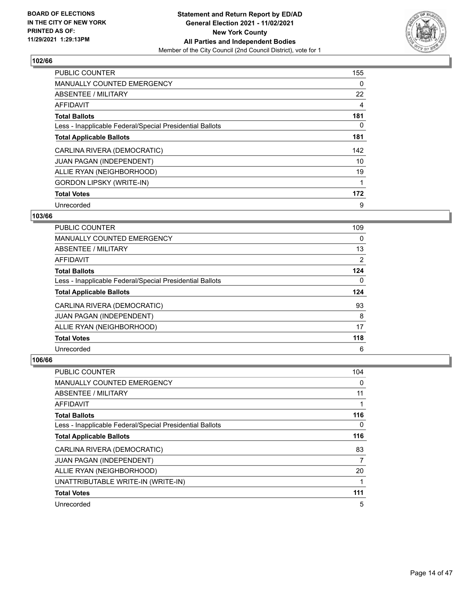

| <b>PUBLIC COUNTER</b>                                    | 155 |
|----------------------------------------------------------|-----|
| <b>MANUALLY COUNTED EMERGENCY</b>                        | 0   |
| ABSENTEE / MILITARY                                      | 22  |
| AFFIDAVIT                                                | 4   |
| <b>Total Ballots</b>                                     | 181 |
| Less - Inapplicable Federal/Special Presidential Ballots | 0   |
| <b>Total Applicable Ballots</b>                          | 181 |
| CARLINA RIVERA (DEMOCRATIC)                              | 142 |
| JUAN PAGAN (INDEPENDENT)                                 | 10  |
| ALLIE RYAN (NEIGHBORHOOD)                                | 19  |
| <b>GORDON LIPSKY (WRITE-IN)</b>                          |     |
| <b>Total Votes</b>                                       | 172 |
| Unrecorded                                               | 9   |

# **103/66**

| <b>PUBLIC COUNTER</b>                                    | 109 |
|----------------------------------------------------------|-----|
| <b>MANUALLY COUNTED EMERGENCY</b>                        | 0   |
| ABSENTEE / MILITARY                                      | 13  |
| AFFIDAVIT                                                | 2   |
| <b>Total Ballots</b>                                     | 124 |
| Less - Inapplicable Federal/Special Presidential Ballots | 0   |
| <b>Total Applicable Ballots</b>                          | 124 |
| CARLINA RIVERA (DEMOCRATIC)                              | 93  |
| <b>JUAN PAGAN (INDEPENDENT)</b>                          | 8   |
| ALLIE RYAN (NEIGHBORHOOD)                                | 17  |
| <b>Total Votes</b>                                       | 118 |
| Unrecorded                                               | 6   |

| <b>PUBLIC COUNTER</b>                                    | 104 |
|----------------------------------------------------------|-----|
| MANUALLY COUNTED EMERGENCY                               | 0   |
| ABSENTEE / MILITARY                                      | 11  |
| AFFIDAVIT                                                |     |
| <b>Total Ballots</b>                                     | 116 |
| Less - Inapplicable Federal/Special Presidential Ballots | 0   |
| <b>Total Applicable Ballots</b>                          | 116 |
| CARLINA RIVERA (DEMOCRATIC)                              | 83  |
| JUAN PAGAN (INDEPENDENT)                                 | 7   |
| ALLIE RYAN (NEIGHBORHOOD)                                | 20  |
| UNATTRIBUTABLE WRITE-IN (WRITE-IN)                       |     |
| <b>Total Votes</b>                                       | 111 |
| Unrecorded                                               | 5   |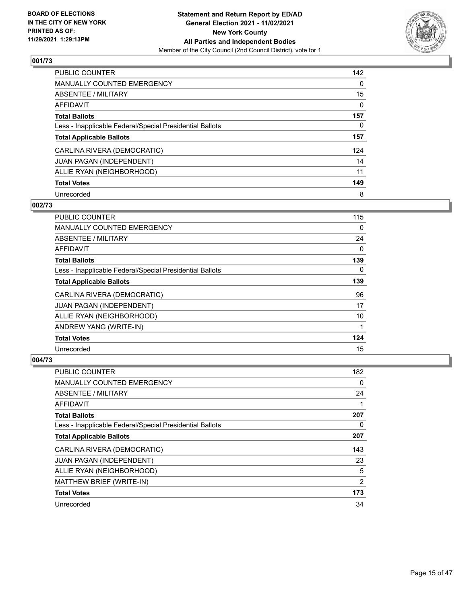

| <b>PUBLIC COUNTER</b>                                    | 142      |
|----------------------------------------------------------|----------|
| MANUALLY COUNTED EMERGENCY                               | 0        |
| ABSENTEE / MILITARY                                      | 15       |
| AFFIDAVIT                                                | $\Omega$ |
| <b>Total Ballots</b>                                     | 157      |
| Less - Inapplicable Federal/Special Presidential Ballots | 0        |
| <b>Total Applicable Ballots</b>                          | 157      |
| CARLINA RIVERA (DEMOCRATIC)                              | 124      |
| JUAN PAGAN (INDEPENDENT)                                 | 14       |
| ALLIE RYAN (NEIGHBORHOOD)                                | 11       |
| <b>Total Votes</b>                                       | 149      |
| Unrecorded                                               | 8        |

# **002/73**

| PUBLIC COUNTER                                           | 115      |
|----------------------------------------------------------|----------|
| <b>MANUALLY COUNTED EMERGENCY</b>                        | $\Omega$ |
| ABSENTEE / MILITARY                                      | 24       |
| <b>AFFIDAVIT</b>                                         | 0        |
| <b>Total Ballots</b>                                     | 139      |
| Less - Inapplicable Federal/Special Presidential Ballots | $\Omega$ |
| <b>Total Applicable Ballots</b>                          | 139      |
| CARLINA RIVERA (DEMOCRATIC)                              | 96       |
| JUAN PAGAN (INDEPENDENT)                                 | 17       |
| ALLIE RYAN (NEIGHBORHOOD)                                | 10       |
| ANDREW YANG (WRITE-IN)                                   | 1        |
| <b>Total Votes</b>                                       | 124      |
| Unrecorded                                               | 15       |

| PUBLIC COUNTER                                           | 182 |
|----------------------------------------------------------|-----|
| MANUALLY COUNTED EMERGENCY                               | 0   |
| ABSENTEE / MILITARY                                      | 24  |
| AFFIDAVIT                                                |     |
| <b>Total Ballots</b>                                     | 207 |
| Less - Inapplicable Federal/Special Presidential Ballots | 0   |
| <b>Total Applicable Ballots</b>                          | 207 |
| CARLINA RIVERA (DEMOCRATIC)                              | 143 |
| JUAN PAGAN (INDEPENDENT)                                 | 23  |
| ALLIE RYAN (NEIGHBORHOOD)                                | 5   |
| MATTHEW BRIEF (WRITE-IN)                                 | 2   |
| <b>Total Votes</b>                                       | 173 |
| Unrecorded                                               | 34  |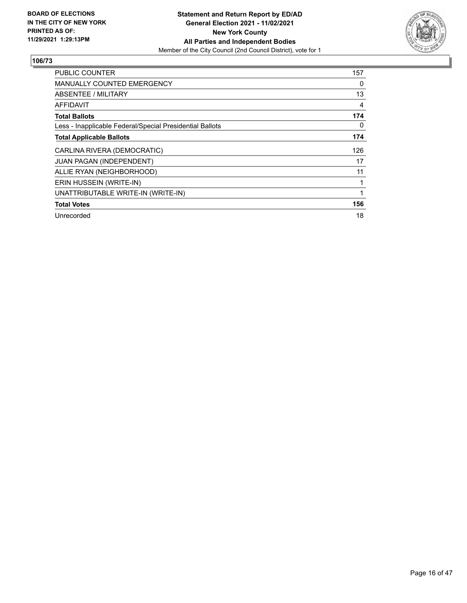

| <b>PUBLIC COUNTER</b>                                    | 157      |
|----------------------------------------------------------|----------|
| <b>MANUALLY COUNTED EMERGENCY</b>                        | 0        |
| ABSENTEE / MILITARY                                      | 13       |
| AFFIDAVIT                                                | 4        |
| <b>Total Ballots</b>                                     | 174      |
| Less - Inapplicable Federal/Special Presidential Ballots | $\Omega$ |
| <b>Total Applicable Ballots</b>                          | 174      |
| CARLINA RIVERA (DEMOCRATIC)                              | 126      |
| <b>JUAN PAGAN (INDEPENDENT)</b>                          | 17       |
| ALLIE RYAN (NEIGHBORHOOD)                                | 11       |
| ERIN HUSSEIN (WRITE-IN)                                  |          |
| UNATTRIBUTABLE WRITE-IN (WRITE-IN)                       |          |
| <b>Total Votes</b>                                       | 156      |
| Unrecorded                                               | 18       |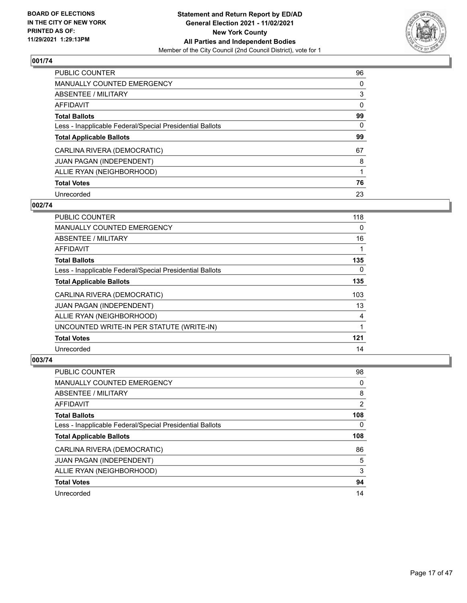

| <b>PUBLIC COUNTER</b>                                    | 96       |
|----------------------------------------------------------|----------|
| <b>MANUALLY COUNTED EMERGENCY</b>                        | 0        |
| ABSENTEE / MILITARY                                      | 3        |
| AFFIDAVIT                                                | $\Omega$ |
| <b>Total Ballots</b>                                     | 99       |
| Less - Inapplicable Federal/Special Presidential Ballots | 0        |
| <b>Total Applicable Ballots</b>                          | 99       |
| CARLINA RIVERA (DEMOCRATIC)                              | 67       |
| JUAN PAGAN (INDEPENDENT)                                 | 8        |
| ALLIE RYAN (NEIGHBORHOOD)                                |          |
| <b>Total Votes</b>                                       | 76       |
| Unrecorded                                               | 23       |

# **002/74**

| PUBLIC COUNTER                                           | 118 |
|----------------------------------------------------------|-----|
| <b>MANUALLY COUNTED EMERGENCY</b>                        | 0   |
| ABSENTEE / MILITARY                                      | 16  |
| <b>AFFIDAVIT</b>                                         |     |
| <b>Total Ballots</b>                                     | 135 |
| Less - Inapplicable Federal/Special Presidential Ballots | 0   |
| <b>Total Applicable Ballots</b>                          | 135 |
| CARLINA RIVERA (DEMOCRATIC)                              | 103 |
| <b>JUAN PAGAN (INDEPENDENT)</b>                          | 13  |
| ALLIE RYAN (NEIGHBORHOOD)                                | 4   |
| UNCOUNTED WRITE-IN PER STATUTE (WRITE-IN)                | 1   |
| <b>Total Votes</b>                                       | 121 |
| Unrecorded                                               | 14  |

| <b>PUBLIC COUNTER</b>                                    | 98  |
|----------------------------------------------------------|-----|
| <b>MANUALLY COUNTED EMERGENCY</b>                        | 0   |
| ABSENTEE / MILITARY                                      | 8   |
| AFFIDAVIT                                                | 2   |
| <b>Total Ballots</b>                                     | 108 |
| Less - Inapplicable Federal/Special Presidential Ballots | 0   |
| <b>Total Applicable Ballots</b>                          | 108 |
|                                                          |     |
| CARLINA RIVERA (DEMOCRATIC)                              | 86  |
| <b>JUAN PAGAN (INDEPENDENT)</b>                          | 5   |
| ALLIE RYAN (NEIGHBORHOOD)                                | 3   |
| <b>Total Votes</b>                                       | 94  |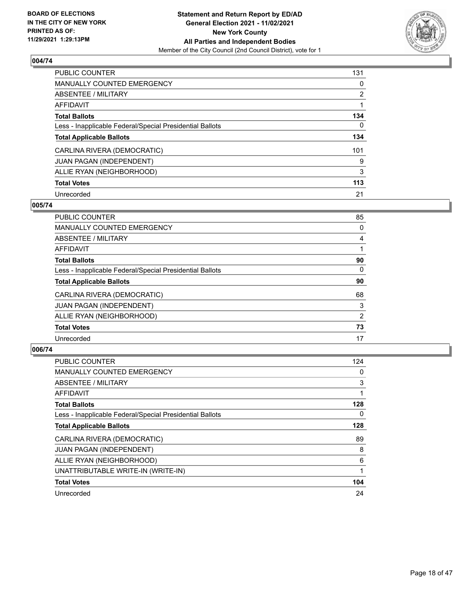

| <b>PUBLIC COUNTER</b>                                    | 131            |
|----------------------------------------------------------|----------------|
| MANUALLY COUNTED EMERGENCY                               | $\Omega$       |
| ABSENTEE / MILITARY                                      | $\overline{2}$ |
| AFFIDAVIT                                                |                |
| <b>Total Ballots</b>                                     | 134            |
| Less - Inapplicable Federal/Special Presidential Ballots | 0              |
| <b>Total Applicable Ballots</b>                          | 134            |
| CARLINA RIVERA (DEMOCRATIC)                              | 101            |
| <b>JUAN PAGAN (INDEPENDENT)</b>                          | 9              |
| ALLIE RYAN (NEIGHBORHOOD)                                | 3              |
| <b>Total Votes</b>                                       | 113            |
| Unrecorded                                               | 21             |

## **005/74**

| PUBLIC COUNTER                                           | 85       |
|----------------------------------------------------------|----------|
| <b>MANUALLY COUNTED EMERGENCY</b>                        | 0        |
| <b>ABSENTEE / MILITARY</b>                               | 4        |
| <b>AFFIDAVIT</b>                                         |          |
| <b>Total Ballots</b>                                     | 90       |
| Less - Inapplicable Federal/Special Presidential Ballots | $\Omega$ |
| <b>Total Applicable Ballots</b>                          | 90       |
| CARLINA RIVERA (DEMOCRATIC)                              | 68       |
| <b>JUAN PAGAN (INDEPENDENT)</b>                          | 3        |
| ALLIE RYAN (NEIGHBORHOOD)                                | 2        |
| <b>Total Votes</b>                                       | 73       |
| Unrecorded                                               | 17       |

| <b>PUBLIC COUNTER</b>                                    | 124 |
|----------------------------------------------------------|-----|
| <b>MANUALLY COUNTED EMERGENCY</b>                        | 0   |
| ABSENTEE / MILITARY                                      | 3   |
| AFFIDAVIT                                                | 1   |
| <b>Total Ballots</b>                                     | 128 |
| Less - Inapplicable Federal/Special Presidential Ballots | 0   |
| <b>Total Applicable Ballots</b>                          | 128 |
| CARLINA RIVERA (DEMOCRATIC)                              | 89  |
| JUAN PAGAN (INDEPENDENT)                                 | 8   |
| ALLIE RYAN (NEIGHBORHOOD)                                | 6   |
| UNATTRIBUTABLE WRITE-IN (WRITE-IN)                       |     |
| <b>Total Votes</b>                                       | 104 |
| Unrecorded                                               | 24  |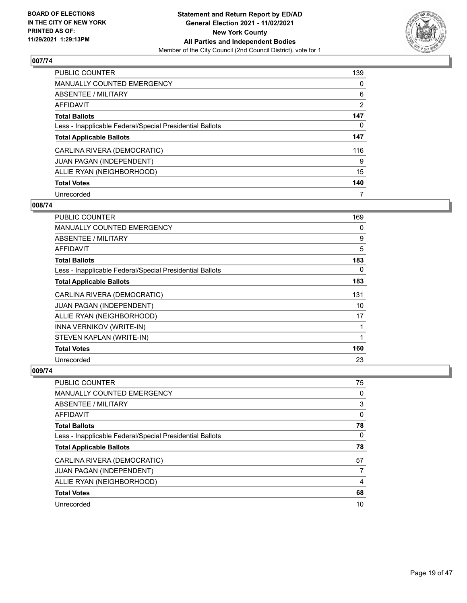

| <b>PUBLIC COUNTER</b>                                    | 139            |
|----------------------------------------------------------|----------------|
| <b>MANUALLY COUNTED EMERGENCY</b>                        | $\Omega$       |
| ABSENTEE / MILITARY                                      | 6              |
| AFFIDAVIT                                                | $\overline{2}$ |
| <b>Total Ballots</b>                                     | 147            |
| Less - Inapplicable Federal/Special Presidential Ballots | 0              |
| <b>Total Applicable Ballots</b>                          | 147            |
| CARLINA RIVERA (DEMOCRATIC)                              | 116            |
| JUAN PAGAN (INDEPENDENT)                                 | 9              |
| ALLIE RYAN (NEIGHBORHOOD)                                | 15             |
| <b>Total Votes</b>                                       | 140            |
| Unrecorded                                               | 7              |

#### **008/74**

| <b>PUBLIC COUNTER</b>                                    | 169 |
|----------------------------------------------------------|-----|
| MANUALLY COUNTED EMERGENCY                               | 0   |
| ABSENTEE / MILITARY                                      | 9   |
| <b>AFFIDAVIT</b>                                         | 5   |
| <b>Total Ballots</b>                                     | 183 |
| Less - Inapplicable Federal/Special Presidential Ballots | 0   |
| <b>Total Applicable Ballots</b>                          | 183 |
| CARLINA RIVERA (DEMOCRATIC)                              | 131 |
| JUAN PAGAN (INDEPENDENT)                                 | 10  |
| ALLIE RYAN (NEIGHBORHOOD)                                | 17  |
| INNA VERNIKOV (WRITE-IN)                                 | 1   |
| STEVEN KAPLAN (WRITE-IN)                                 | 1   |
| <b>Total Votes</b>                                       | 160 |
| Unrecorded                                               | 23  |

| <b>PUBLIC COUNTER</b>                                    | 75 |
|----------------------------------------------------------|----|
| <b>MANUALLY COUNTED EMERGENCY</b>                        | 0  |
| ABSENTEE / MILITARY                                      | 3  |
| AFFIDAVIT                                                | 0  |
| <b>Total Ballots</b>                                     | 78 |
| Less - Inapplicable Federal/Special Presidential Ballots | 0  |
| <b>Total Applicable Ballots</b>                          | 78 |
|                                                          |    |
| CARLINA RIVERA (DEMOCRATIC)                              | 57 |
| <b>JUAN PAGAN (INDEPENDENT)</b>                          |    |
| ALLIE RYAN (NEIGHBORHOOD)                                | 4  |
| <b>Total Votes</b>                                       | 68 |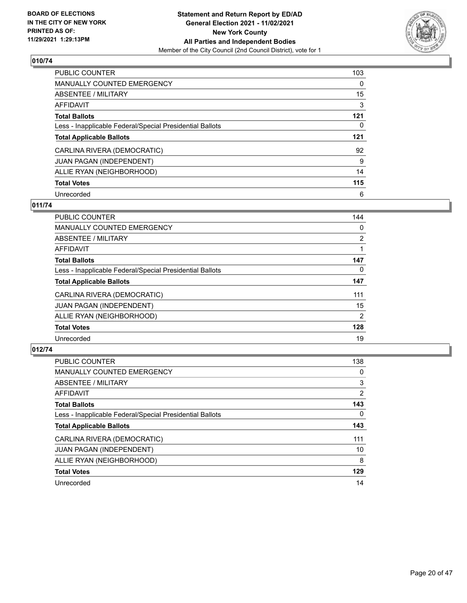

| <b>PUBLIC COUNTER</b>                                    | 103      |
|----------------------------------------------------------|----------|
| MANUALLY COUNTED EMERGENCY                               | $\Omega$ |
| ABSENTEE / MILITARY                                      | 15       |
| AFFIDAVIT                                                | 3        |
| <b>Total Ballots</b>                                     | 121      |
| Less - Inapplicable Federal/Special Presidential Ballots | 0        |
| <b>Total Applicable Ballots</b>                          | 121      |
| CARLINA RIVERA (DEMOCRATIC)                              | 92       |
| <b>JUAN PAGAN (INDEPENDENT)</b>                          | 9        |
| ALLIE RYAN (NEIGHBORHOOD)                                | 14       |
| <b>Total Votes</b>                                       | 115      |
| Unrecorded                                               | 6        |

## **011/74**

| <b>PUBLIC COUNTER</b>                                    | 144            |
|----------------------------------------------------------|----------------|
| MANUALLY COUNTED EMERGENCY                               | 0              |
| ABSENTEE / MILITARY                                      | $\overline{2}$ |
| <b>AFFIDAVIT</b>                                         |                |
| <b>Total Ballots</b>                                     | 147            |
| Less - Inapplicable Federal/Special Presidential Ballots | $\Omega$       |
| <b>Total Applicable Ballots</b>                          | 147            |
| CARLINA RIVERA (DEMOCRATIC)                              | 111            |
| <b>JUAN PAGAN (INDEPENDENT)</b>                          | 15             |
| ALLIE RYAN (NEIGHBORHOOD)                                | $\overline{2}$ |
| <b>Total Votes</b>                                       | 128            |
| Unrecorded                                               | 19             |

| PUBLIC COUNTER                                           | 138            |
|----------------------------------------------------------|----------------|
| MANUALLY COUNTED EMERGENCY                               | 0              |
| ABSENTEE / MILITARY                                      | 3              |
| <b>AFFIDAVIT</b>                                         | $\overline{2}$ |
| <b>Total Ballots</b>                                     | 143            |
| Less - Inapplicable Federal/Special Presidential Ballots | $\Omega$       |
| <b>Total Applicable Ballots</b>                          | 143            |
| CARLINA RIVERA (DEMOCRATIC)                              | 111            |
| <b>JUAN PAGAN (INDEPENDENT)</b>                          | 10             |
| ALLIE RYAN (NEIGHBORHOOD)                                | 8              |
| <b>Total Votes</b>                                       | 129            |
| Unrecorded                                               | 14             |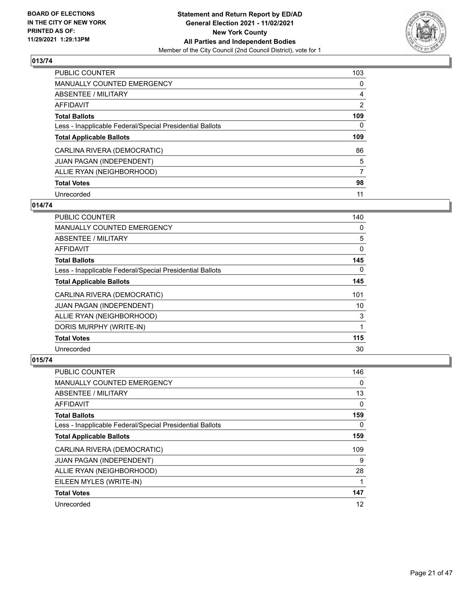

| PUBLIC COUNTER                                           | 103            |
|----------------------------------------------------------|----------------|
| <b>MANUALLY COUNTED EMERGENCY</b>                        | $\Omega$       |
| ABSENTEE / MILITARY                                      | 4              |
| AFFIDAVIT                                                | $\overline{2}$ |
| <b>Total Ballots</b>                                     | 109            |
| Less - Inapplicable Federal/Special Presidential Ballots | 0              |
| <b>Total Applicable Ballots</b>                          | 109            |
| CARLINA RIVERA (DEMOCRATIC)                              | 86             |
| <b>JUAN PAGAN (INDEPENDENT)</b>                          | 5              |
| ALLIE RYAN (NEIGHBORHOOD)                                | 7              |
| <b>Total Votes</b>                                       | 98             |
| Unrecorded                                               | 11             |

## **014/74**

| <b>PUBLIC COUNTER</b>                                    | 140 |
|----------------------------------------------------------|-----|
| <b>MANUALLY COUNTED EMERGENCY</b>                        | 0   |
| <b>ABSENTEE / MILITARY</b>                               | 5   |
| <b>AFFIDAVIT</b>                                         | 0   |
| <b>Total Ballots</b>                                     | 145 |
| Less - Inapplicable Federal/Special Presidential Ballots | 0   |
| <b>Total Applicable Ballots</b>                          | 145 |
| CARLINA RIVERA (DEMOCRATIC)                              | 101 |
| JUAN PAGAN (INDEPENDENT)                                 | 10  |
| ALLIE RYAN (NEIGHBORHOOD)                                | 3   |
| DORIS MURPHY (WRITE-IN)                                  | 1   |
| <b>Total Votes</b>                                       | 115 |
| Unrecorded                                               | 30  |

| PUBLIC COUNTER                                           | 146      |
|----------------------------------------------------------|----------|
| MANUALLY COUNTED EMERGENCY                               | 0        |
| ABSENTEE / MILITARY                                      | 13       |
| AFFIDAVIT                                                | 0        |
| <b>Total Ballots</b>                                     | 159      |
| Less - Inapplicable Federal/Special Presidential Ballots | $\Omega$ |
| <b>Total Applicable Ballots</b>                          | 159      |
| CARLINA RIVERA (DEMOCRATIC)                              | 109      |
| <b>JUAN PAGAN (INDEPENDENT)</b>                          | 9        |
| ALLIE RYAN (NEIGHBORHOOD)                                | 28       |
| EILEEN MYLES (WRITE-IN)                                  |          |
| <b>Total Votes</b>                                       | 147      |
| Unrecorded                                               | 12       |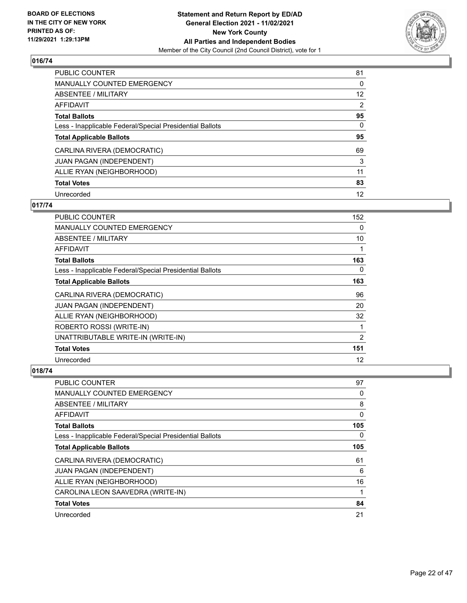

| PUBLIC COUNTER                                           | 81             |
|----------------------------------------------------------|----------------|
| MANUALLY COUNTED EMERGENCY                               | 0              |
| ABSENTEE / MILITARY                                      | 12             |
| AFFIDAVIT                                                | $\overline{2}$ |
| <b>Total Ballots</b>                                     | 95             |
| Less - Inapplicable Federal/Special Presidential Ballots | $\Omega$       |
| <b>Total Applicable Ballots</b>                          | 95             |
| CARLINA RIVERA (DEMOCRATIC)                              | 69             |
| <b>JUAN PAGAN (INDEPENDENT)</b>                          | 3              |
| ALLIE RYAN (NEIGHBORHOOD)                                | 11             |
| <b>Total Votes</b>                                       | 83             |
| Unrecorded                                               | 12             |

## **017/74**

| <b>PUBLIC COUNTER</b>                                    | 152 |
|----------------------------------------------------------|-----|
| <b>MANUALLY COUNTED EMERGENCY</b>                        | 0   |
| ABSENTEE / MILITARY                                      | 10  |
| AFFIDAVIT                                                | 1   |
| <b>Total Ballots</b>                                     | 163 |
| Less - Inapplicable Federal/Special Presidential Ballots | 0   |
| <b>Total Applicable Ballots</b>                          | 163 |
| CARLINA RIVERA (DEMOCRATIC)                              | 96  |
| JUAN PAGAN (INDEPENDENT)                                 | 20  |
| ALLIE RYAN (NEIGHBORHOOD)                                | 32  |
| ROBERTO ROSSI (WRITE-IN)                                 | 1   |
| UNATTRIBUTABLE WRITE-IN (WRITE-IN)                       | 2   |
| <b>Total Votes</b>                                       | 151 |
| Unrecorded                                               | 12  |

| <b>PUBLIC COUNTER</b>                                    | 97  |
|----------------------------------------------------------|-----|
| MANUALLY COUNTED EMERGENCY                               | 0   |
| ABSENTEE / MILITARY                                      | 8   |
| AFFIDAVIT                                                | 0   |
| <b>Total Ballots</b>                                     | 105 |
| Less - Inapplicable Federal/Special Presidential Ballots | 0   |
| <b>Total Applicable Ballots</b>                          | 105 |
| CARLINA RIVERA (DEMOCRATIC)                              | 61  |
| <b>JUAN PAGAN (INDEPENDENT)</b>                          | 6   |
| ALLIE RYAN (NEIGHBORHOOD)                                | 16  |
| CAROLINA LEON SAAVEDRA (WRITE-IN)                        | 1   |
| <b>Total Votes</b>                                       | 84  |
| Unrecorded                                               | 21  |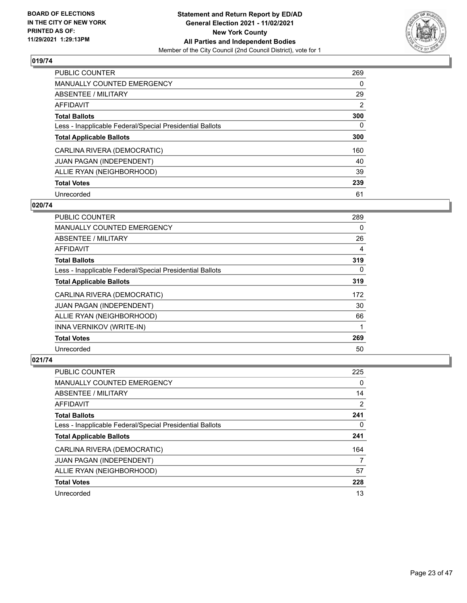

| PUBLIC COUNTER                                           | 269      |
|----------------------------------------------------------|----------|
| <b>MANUALLY COUNTED EMERGENCY</b>                        | $\Omega$ |
| ABSENTEE / MILITARY                                      | 29       |
| AFFIDAVIT                                                | 2        |
| <b>Total Ballots</b>                                     | 300      |
| Less - Inapplicable Federal/Special Presidential Ballots | 0        |
| <b>Total Applicable Ballots</b>                          | 300      |
| CARLINA RIVERA (DEMOCRATIC)                              | 160      |
| <b>JUAN PAGAN (INDEPENDENT)</b>                          | 40       |
| ALLIE RYAN (NEIGHBORHOOD)                                | 39       |
| <b>Total Votes</b>                                       | 239      |
| Unrecorded                                               | 61       |

#### **020/74**

| <b>PUBLIC COUNTER</b>                                    | 289 |
|----------------------------------------------------------|-----|
| <b>MANUALLY COUNTED EMERGENCY</b>                        | 0   |
| ABSENTEE / MILITARY                                      | 26  |
| <b>AFFIDAVIT</b>                                         | 4   |
| <b>Total Ballots</b>                                     | 319 |
| Less - Inapplicable Federal/Special Presidential Ballots | 0   |
| <b>Total Applicable Ballots</b>                          | 319 |
| CARLINA RIVERA (DEMOCRATIC)                              | 172 |
| JUAN PAGAN (INDEPENDENT)                                 | 30  |
| ALLIE RYAN (NEIGHBORHOOD)                                | 66  |
| INNA VERNIKOV (WRITE-IN)                                 |     |
| <b>Total Votes</b>                                       | 269 |
| Unrecorded                                               | 50  |

| PUBLIC COUNTER                                           | 225      |
|----------------------------------------------------------|----------|
| <b>MANUALLY COUNTED EMERGENCY</b>                        | $\Omega$ |
| ABSENTEE / MILITARY                                      | 14       |
| AFFIDAVIT                                                | 2        |
| <b>Total Ballots</b>                                     | 241      |
| Less - Inapplicable Federal/Special Presidential Ballots | 0        |
| <b>Total Applicable Ballots</b>                          | 241      |
| CARLINA RIVERA (DEMOCRATIC)                              | 164      |
| JUAN PAGAN (INDEPENDENT)                                 | 7        |
| ALLIE RYAN (NEIGHBORHOOD)                                | 57       |
| <b>Total Votes</b>                                       | 228      |
| Unrecorded                                               | 13       |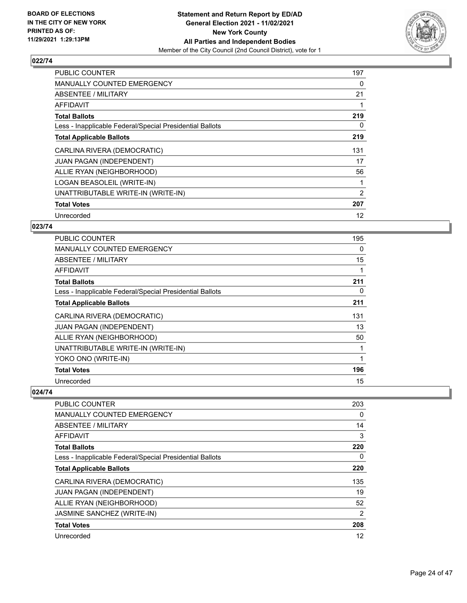

| <b>PUBLIC COUNTER</b>                                    | 197 |
|----------------------------------------------------------|-----|
| MANUALLY COUNTED EMERGENCY                               | 0   |
| ABSENTEE / MILITARY                                      | 21  |
| AFFIDAVIT                                                |     |
| <b>Total Ballots</b>                                     | 219 |
| Less - Inapplicable Federal/Special Presidential Ballots | 0   |
| <b>Total Applicable Ballots</b>                          | 219 |
| CARLINA RIVERA (DEMOCRATIC)                              | 131 |
| JUAN PAGAN (INDEPENDENT)                                 | 17  |
| ALLIE RYAN (NEIGHBORHOOD)                                | 56  |
| LOGAN BEASOLEIL (WRITE-IN)                               |     |
| UNATTRIBUTABLE WRITE-IN (WRITE-IN)                       | 2   |
| <b>Total Votes</b>                                       | 207 |
| Unrecorded                                               | 12  |

# **023/74**

| PUBLIC COUNTER                                           | 195 |
|----------------------------------------------------------|-----|
| MANUALLY COUNTED EMERGENCY                               | 0   |
| ABSENTEE / MILITARY                                      | 15  |
| AFFIDAVIT                                                |     |
| <b>Total Ballots</b>                                     | 211 |
| Less - Inapplicable Federal/Special Presidential Ballots | 0   |
| <b>Total Applicable Ballots</b>                          | 211 |
| CARLINA RIVERA (DEMOCRATIC)                              | 131 |
| <b>JUAN PAGAN (INDEPENDENT)</b>                          | 13  |
| ALLIE RYAN (NEIGHBORHOOD)                                | 50  |
| UNATTRIBUTABLE WRITE-IN (WRITE-IN)                       |     |
| YOKO ONO (WRITE-IN)                                      |     |
| <b>Total Votes</b>                                       | 196 |
| Unrecorded                                               | 15  |

| <b>PUBLIC COUNTER</b>                                    | 203 |
|----------------------------------------------------------|-----|
| <b>MANUALLY COUNTED EMERGENCY</b>                        | 0   |
| ABSENTEE / MILITARY                                      | 14  |
| AFFIDAVIT                                                | 3   |
| <b>Total Ballots</b>                                     | 220 |
| Less - Inapplicable Federal/Special Presidential Ballots | 0   |
| <b>Total Applicable Ballots</b>                          | 220 |
| CARLINA RIVERA (DEMOCRATIC)                              | 135 |
| <b>JUAN PAGAN (INDEPENDENT)</b>                          | 19  |
| ALLIE RYAN (NEIGHBORHOOD)                                | 52  |
| JASMINE SANCHEZ (WRITE-IN)                               | 2   |
| <b>Total Votes</b>                                       | 208 |
| Unrecorded                                               | 12  |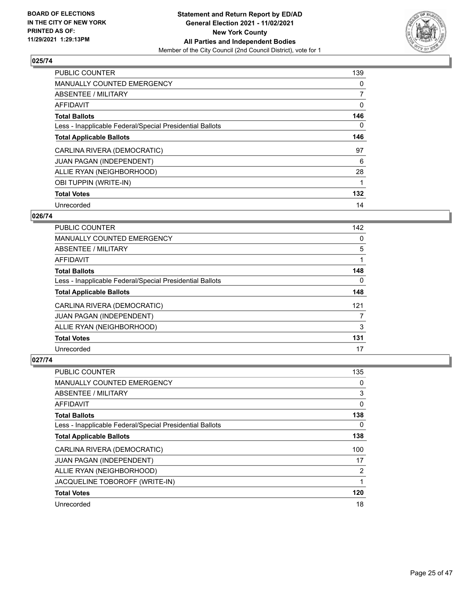

| <b>PUBLIC COUNTER</b>                                    | 139 |
|----------------------------------------------------------|-----|
| <b>MANUALLY COUNTED EMERGENCY</b>                        | 0   |
| ABSENTEE / MILITARY                                      | 7   |
| AFFIDAVIT                                                | 0   |
| <b>Total Ballots</b>                                     | 146 |
| Less - Inapplicable Federal/Special Presidential Ballots | 0   |
| <b>Total Applicable Ballots</b>                          | 146 |
| CARLINA RIVERA (DEMOCRATIC)                              | 97  |
| <b>JUAN PAGAN (INDEPENDENT)</b>                          | 6   |
| ALLIE RYAN (NEIGHBORHOOD)                                | 28  |
| OBI TUPPIN (WRITE-IN)                                    |     |
| <b>Total Votes</b>                                       | 132 |
| Unrecorded                                               | 14  |

# **026/74**

| <b>PUBLIC COUNTER</b>                                    | 142 |
|----------------------------------------------------------|-----|
| <b>MANUALLY COUNTED EMERGENCY</b>                        | 0   |
| ABSENTEE / MILITARY                                      | 5   |
| <b>AFFIDAVIT</b>                                         |     |
| <b>Total Ballots</b>                                     | 148 |
| Less - Inapplicable Federal/Special Presidential Ballots | 0   |
| <b>Total Applicable Ballots</b>                          | 148 |
| CARLINA RIVERA (DEMOCRATIC)                              | 121 |
| JUAN PAGAN (INDEPENDENT)                                 | 7   |
| ALLIE RYAN (NEIGHBORHOOD)                                | 3   |
| <b>Total Votes</b>                                       | 131 |
| Unrecorded                                               | 17  |

| <b>PUBLIC COUNTER</b>                                    | 135 |
|----------------------------------------------------------|-----|
| MANUALLY COUNTED EMERGENCY                               | 0   |
| ABSENTEE / MILITARY                                      | 3   |
| AFFIDAVIT                                                | 0   |
| <b>Total Ballots</b>                                     | 138 |
| Less - Inapplicable Federal/Special Presidential Ballots | 0   |
| <b>Total Applicable Ballots</b>                          | 138 |
| CARLINA RIVERA (DEMOCRATIC)                              | 100 |
| <b>JUAN PAGAN (INDEPENDENT)</b>                          | 17  |
| ALLIE RYAN (NEIGHBORHOOD)                                | 2   |
| JACQUELINE TOBOROFF (WRITE-IN)                           |     |
| <b>Total Votes</b>                                       | 120 |
| Unrecorded                                               | 18  |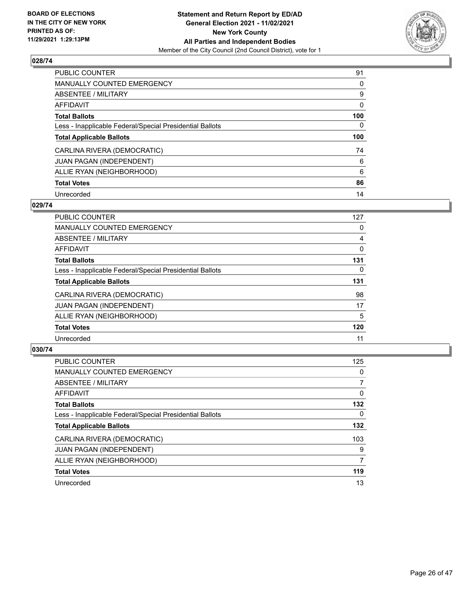

| PUBLIC COUNTER                                           | 91  |
|----------------------------------------------------------|-----|
| <b>MANUALLY COUNTED EMERGENCY</b>                        | 0   |
| ABSENTEE / MILITARY                                      | 9   |
| AFFIDAVIT                                                | 0   |
| <b>Total Ballots</b>                                     | 100 |
| Less - Inapplicable Federal/Special Presidential Ballots | 0   |
| <b>Total Applicable Ballots</b>                          | 100 |
| CARLINA RIVERA (DEMOCRATIC)                              | 74  |
| <b>JUAN PAGAN (INDEPENDENT)</b>                          | 6   |
| ALLIE RYAN (NEIGHBORHOOD)                                | 6   |
| <b>Total Votes</b>                                       | 86  |
| Unrecorded                                               | 14  |

#### **029/74**

| <b>PUBLIC COUNTER</b>                                    | 127      |
|----------------------------------------------------------|----------|
| MANUALLY COUNTED EMERGENCY                               | 0        |
| ABSENTEE / MILITARY                                      | 4        |
| <b>AFFIDAVIT</b>                                         | $\Omega$ |
| <b>Total Ballots</b>                                     | 131      |
| Less - Inapplicable Federal/Special Presidential Ballots | $\Omega$ |
| <b>Total Applicable Ballots</b>                          | 131      |
| CARLINA RIVERA (DEMOCRATIC)                              | 98       |
| JUAN PAGAN (INDEPENDENT)                                 | 17       |
| ALLIE RYAN (NEIGHBORHOOD)                                | 5        |
| <b>Total Votes</b>                                       | 120      |
| Unrecorded                                               | 11       |

| PUBLIC COUNTER                                           | 125            |
|----------------------------------------------------------|----------------|
| <b>MANUALLY COUNTED EMERGENCY</b>                        | $\Omega$       |
| ABSENTEE / MILITARY                                      | $\overline{7}$ |
| <b>AFFIDAVIT</b>                                         | 0              |
| <b>Total Ballots</b>                                     | 132            |
| Less - Inapplicable Federal/Special Presidential Ballots | $\Omega$       |
| <b>Total Applicable Ballots</b>                          | 132            |
| CARLINA RIVERA (DEMOCRATIC)                              | 103            |
| <b>JUAN PAGAN (INDEPENDENT)</b>                          | 9              |
| ALLIE RYAN (NEIGHBORHOOD)                                | 7              |
| <b>Total Votes</b>                                       | 119            |
| Unrecorded                                               | 13             |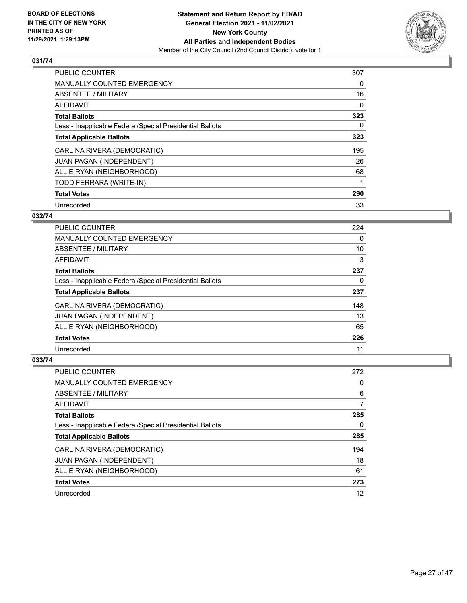

| PUBLIC COUNTER                                           | 307 |
|----------------------------------------------------------|-----|
| <b>MANUALLY COUNTED EMERGENCY</b>                        | 0   |
| ABSENTEE / MILITARY                                      | 16  |
| AFFIDAVIT                                                | 0   |
| <b>Total Ballots</b>                                     | 323 |
| Less - Inapplicable Federal/Special Presidential Ballots | 0   |
| <b>Total Applicable Ballots</b>                          | 323 |
| CARLINA RIVERA (DEMOCRATIC)                              | 195 |
| JUAN PAGAN (INDEPENDENT)                                 | 26  |
| ALLIE RYAN (NEIGHBORHOOD)                                | 68  |
| TODD FERRARA (WRITE-IN)                                  | 1   |
| <b>Total Votes</b>                                       | 290 |
| Unrecorded                                               | 33  |

# **032/74**

| <b>PUBLIC COUNTER</b>                                    | 224 |
|----------------------------------------------------------|-----|
| <b>MANUALLY COUNTED EMERGENCY</b>                        | 0   |
| ABSENTEE / MILITARY                                      | 10  |
| <b>AFFIDAVIT</b>                                         | 3   |
| <b>Total Ballots</b>                                     | 237 |
| Less - Inapplicable Federal/Special Presidential Ballots | 0   |
| <b>Total Applicable Ballots</b>                          | 237 |
| CARLINA RIVERA (DEMOCRATIC)                              | 148 |
| JUAN PAGAN (INDEPENDENT)                                 | 13  |
| ALLIE RYAN (NEIGHBORHOOD)                                | 65  |
| <b>Total Votes</b>                                       | 226 |
| Unrecorded                                               | 11  |

| <b>PUBLIC COUNTER</b>                                    | 272 |
|----------------------------------------------------------|-----|
| <b>MANUALLY COUNTED EMERGENCY</b>                        | 0   |
| ABSENTEE / MILITARY                                      | 6   |
| AFFIDAVIT                                                | 7   |
| <b>Total Ballots</b>                                     | 285 |
| Less - Inapplicable Federal/Special Presidential Ballots | 0   |
| <b>Total Applicable Ballots</b>                          | 285 |
| CARLINA RIVERA (DEMOCRATIC)                              | 194 |
| JUAN PAGAN (INDEPENDENT)                                 | 18  |
| ALLIE RYAN (NEIGHBORHOOD)                                | 61  |
| <b>Total Votes</b>                                       | 273 |
| Unrecorded                                               | 12  |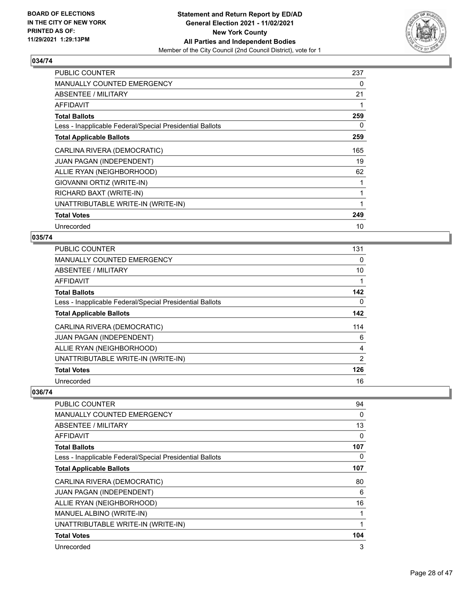

| PUBLIC COUNTER                                           | 237 |
|----------------------------------------------------------|-----|
| <b>MANUALLY COUNTED EMERGENCY</b>                        | 0   |
| ABSENTEE / MILITARY                                      | 21  |
| AFFIDAVIT                                                |     |
| <b>Total Ballots</b>                                     | 259 |
| Less - Inapplicable Federal/Special Presidential Ballots | 0   |
| <b>Total Applicable Ballots</b>                          | 259 |
| CARLINA RIVERA (DEMOCRATIC)                              | 165 |
| <b>JUAN PAGAN (INDEPENDENT)</b>                          | 19  |
| ALLIE RYAN (NEIGHBORHOOD)                                | 62  |
| GIOVANNI ORTIZ (WRITE-IN)                                |     |
| RICHARD BAXT (WRITE-IN)                                  |     |
| UNATTRIBUTABLE WRITE-IN (WRITE-IN)                       | 1   |
| <b>Total Votes</b>                                       | 249 |
| Unrecorded                                               | 10  |

# **035/74**

| <b>PUBLIC COUNTER</b>                                    | 131            |
|----------------------------------------------------------|----------------|
| <b>MANUALLY COUNTED EMERGENCY</b>                        | 0              |
| ABSENTEE / MILITARY                                      | 10             |
| AFFIDAVIT                                                | 1              |
| <b>Total Ballots</b>                                     | 142            |
| Less - Inapplicable Federal/Special Presidential Ballots | 0              |
| <b>Total Applicable Ballots</b>                          | 142            |
| CARLINA RIVERA (DEMOCRATIC)                              | 114            |
| <b>JUAN PAGAN (INDEPENDENT)</b>                          | 6              |
| ALLIE RYAN (NEIGHBORHOOD)                                | $\overline{4}$ |
| UNATTRIBUTABLE WRITE-IN (WRITE-IN)                       | 2              |
| <b>Total Votes</b>                                       | 126            |
| Unrecorded                                               | 16             |

| <b>PUBLIC COUNTER</b>                                    | 94  |
|----------------------------------------------------------|-----|
| MANUALLY COUNTED EMERGENCY                               | 0   |
| ABSENTEE / MILITARY                                      | 13  |
| <b>AFFIDAVIT</b>                                         | 0   |
| <b>Total Ballots</b>                                     | 107 |
| Less - Inapplicable Federal/Special Presidential Ballots | 0   |
| <b>Total Applicable Ballots</b>                          | 107 |
| CARLINA RIVERA (DEMOCRATIC)                              | 80  |
| JUAN PAGAN (INDEPENDENT)                                 | 6   |
| ALLIE RYAN (NEIGHBORHOOD)                                | 16  |
| MANUEL ALBINO (WRITE-IN)                                 | 1   |
| UNATTRIBUTABLE WRITE-IN (WRITE-IN)                       | 1   |
| <b>Total Votes</b>                                       | 104 |
| Unrecorded                                               | 3   |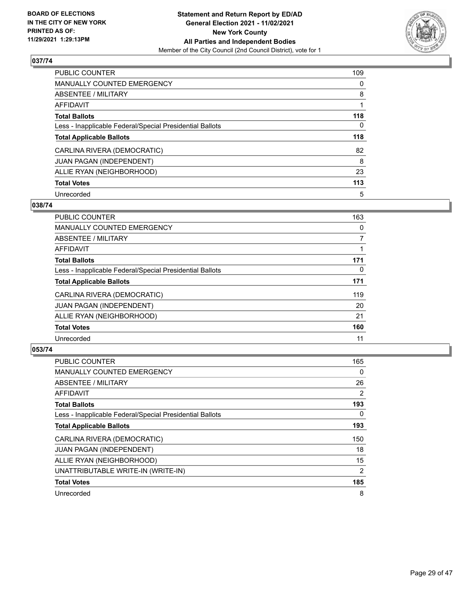

| PUBLIC COUNTER                                           | 109      |
|----------------------------------------------------------|----------|
| MANUALLY COUNTED EMERGENCY                               | 0        |
| ABSENTEE / MILITARY                                      | 8        |
| AFFIDAVIT                                                |          |
| <b>Total Ballots</b>                                     | 118      |
| Less - Inapplicable Federal/Special Presidential Ballots | $\Omega$ |
| <b>Total Applicable Ballots</b>                          | 118      |
| CARLINA RIVERA (DEMOCRATIC)                              | 82       |
| <b>JUAN PAGAN (INDEPENDENT)</b>                          | 8        |
| ALLIE RYAN (NEIGHBORHOOD)                                | 23       |
| <b>Total Votes</b>                                       | 113      |
| Unrecorded                                               | 5        |

## **038/74**

| <b>PUBLIC COUNTER</b>                                    | 163      |
|----------------------------------------------------------|----------|
| <b>MANUALLY COUNTED EMERGENCY</b>                        | 0        |
| ABSENTEE / MILITARY                                      | 7        |
| <b>AFFIDAVIT</b>                                         |          |
| <b>Total Ballots</b>                                     | 171      |
| Less - Inapplicable Federal/Special Presidential Ballots | $\Omega$ |
| <b>Total Applicable Ballots</b>                          | 171      |
| CARLINA RIVERA (DEMOCRATIC)                              | 119      |
| JUAN PAGAN (INDEPENDENT)                                 | 20       |
| ALLIE RYAN (NEIGHBORHOOD)                                | 21       |
| <b>Total Votes</b>                                       | 160      |
| Unrecorded                                               | 11       |

| <b>PUBLIC COUNTER</b>                                    | 165 |
|----------------------------------------------------------|-----|
| <b>MANUALLY COUNTED EMERGENCY</b>                        | 0   |
| ABSENTEE / MILITARY                                      | 26  |
| AFFIDAVIT                                                | 2   |
| <b>Total Ballots</b>                                     | 193 |
| Less - Inapplicable Federal/Special Presidential Ballots | 0   |
| <b>Total Applicable Ballots</b>                          | 193 |
| CARLINA RIVERA (DEMOCRATIC)                              | 150 |
| <b>JUAN PAGAN (INDEPENDENT)</b>                          | 18  |
| ALLIE RYAN (NEIGHBORHOOD)                                | 15  |
| UNATTRIBUTABLE WRITE-IN (WRITE-IN)                       | 2   |
| <b>Total Votes</b>                                       | 185 |
| Unrecorded                                               | 8   |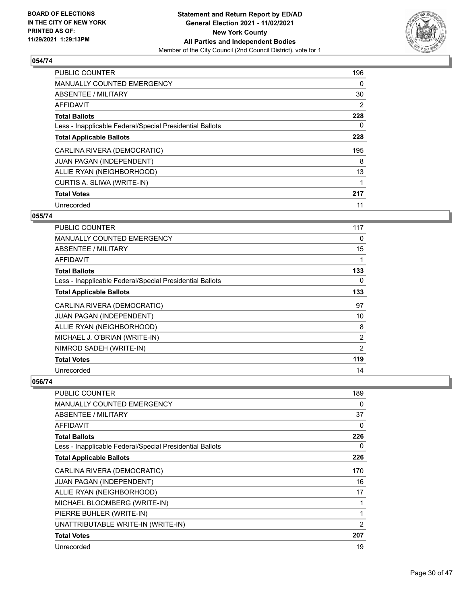

| <b>PUBLIC COUNTER</b>                                    | 196 |
|----------------------------------------------------------|-----|
| <b>MANUALLY COUNTED EMERGENCY</b>                        | 0   |
| ABSENTEE / MILITARY                                      | 30  |
| <b>AFFIDAVIT</b>                                         | 2   |
| <b>Total Ballots</b>                                     | 228 |
| Less - Inapplicable Federal/Special Presidential Ballots | 0   |
| <b>Total Applicable Ballots</b>                          | 228 |
| CARLINA RIVERA (DEMOCRATIC)                              | 195 |
| <b>JUAN PAGAN (INDEPENDENT)</b>                          | 8   |
| ALLIE RYAN (NEIGHBORHOOD)                                | 13  |
| CURTIS A. SLIWA (WRITE-IN)                               |     |
| <b>Total Votes</b>                                       | 217 |
| Unrecorded                                               | 11  |

# **055/74**

| PUBLIC COUNTER                                           | 117 |
|----------------------------------------------------------|-----|
| <b>MANUALLY COUNTED EMERGENCY</b>                        | 0   |
| ABSENTEE / MILITARY                                      | 15  |
| <b>AFFIDAVIT</b>                                         | 1   |
| <b>Total Ballots</b>                                     | 133 |
| Less - Inapplicable Federal/Special Presidential Ballots | 0   |
| <b>Total Applicable Ballots</b>                          | 133 |
| CARLINA RIVERA (DEMOCRATIC)                              | 97  |
| JUAN PAGAN (INDEPENDENT)                                 | 10  |
| ALLIE RYAN (NEIGHBORHOOD)                                | 8   |
| MICHAEL J. O'BRIAN (WRITE-IN)                            | 2   |
| NIMROD SADEH (WRITE-IN)                                  | 2   |
| <b>Total Votes</b>                                       | 119 |
| Unrecorded                                               | 14  |

| <b>PUBLIC COUNTER</b>                                    | 189            |
|----------------------------------------------------------|----------------|
| <b>MANUALLY COUNTED EMERGENCY</b>                        | 0              |
| ABSENTEE / MILITARY                                      | 37             |
| AFFIDAVIT                                                | 0              |
| <b>Total Ballots</b>                                     | 226            |
| Less - Inapplicable Federal/Special Presidential Ballots | 0              |
| <b>Total Applicable Ballots</b>                          | 226            |
| CARLINA RIVERA (DEMOCRATIC)                              | 170            |
| JUAN PAGAN (INDEPENDENT)                                 | 16             |
| ALLIE RYAN (NEIGHBORHOOD)                                | 17             |
| MICHAEL BLOOMBERG (WRITE-IN)                             | 1              |
| PIERRE BUHLER (WRITE-IN)                                 |                |
| UNATTRIBUTABLE WRITE-IN (WRITE-IN)                       | $\overline{2}$ |
| <b>Total Votes</b>                                       | 207            |
| Unrecorded                                               | 19             |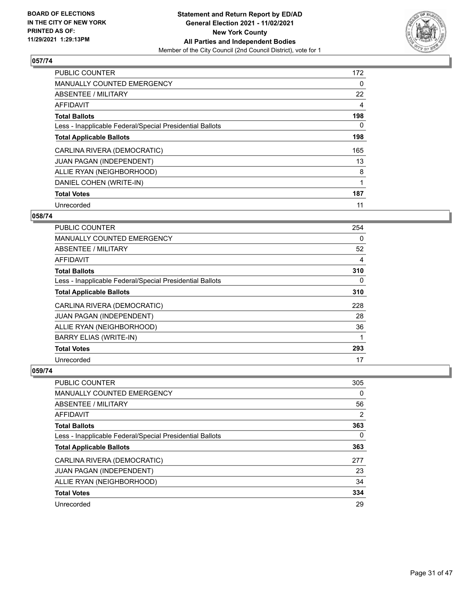

| <b>PUBLIC COUNTER</b>                                    | 172 |
|----------------------------------------------------------|-----|
| <b>MANUALLY COUNTED EMERGENCY</b>                        | 0   |
| ABSENTEE / MILITARY                                      | 22  |
| AFFIDAVIT                                                | 4   |
| <b>Total Ballots</b>                                     | 198 |
| Less - Inapplicable Federal/Special Presidential Ballots | 0   |
| <b>Total Applicable Ballots</b>                          | 198 |
| CARLINA RIVERA (DEMOCRATIC)                              | 165 |
| <b>JUAN PAGAN (INDEPENDENT)</b>                          | 13  |
| ALLIE RYAN (NEIGHBORHOOD)                                | 8   |
| DANIEL COHEN (WRITE-IN)                                  | 1   |
| <b>Total Votes</b>                                       | 187 |
| Unrecorded                                               | 11  |

## **058/74**

| PUBLIC COUNTER                                           | 254      |
|----------------------------------------------------------|----------|
| <b>MANUALLY COUNTED EMERGENCY</b>                        | $\Omega$ |
| ABSENTEE / MILITARY                                      | 52       |
| AFFIDAVIT                                                | 4        |
| <b>Total Ballots</b>                                     | 310      |
| Less - Inapplicable Federal/Special Presidential Ballots | 0        |
| <b>Total Applicable Ballots</b>                          | 310      |
| CARLINA RIVERA (DEMOCRATIC)                              | 228      |
| <b>JUAN PAGAN (INDEPENDENT)</b>                          | 28       |
| ALLIE RYAN (NEIGHBORHOOD)                                | 36       |
| <b>BARRY ELIAS (WRITE-IN)</b>                            | 1        |
| <b>Total Votes</b>                                       | 293      |
| Unrecorded                                               | 17       |

| PUBLIC COUNTER                                           | 305 |
|----------------------------------------------------------|-----|
| <b>MANUALLY COUNTED EMERGENCY</b>                        | 0   |
| ABSENTEE / MILITARY                                      | 56  |
| AFFIDAVIT                                                | 2   |
| <b>Total Ballots</b>                                     | 363 |
| Less - Inapplicable Federal/Special Presidential Ballots | 0   |
| <b>Total Applicable Ballots</b>                          | 363 |
| CARLINA RIVERA (DEMOCRATIC)                              | 277 |
| <b>JUAN PAGAN (INDEPENDENT)</b>                          | 23  |
| ALLIE RYAN (NEIGHBORHOOD)                                | 34  |
| <b>Total Votes</b>                                       | 334 |
| Unrecorded                                               | 29  |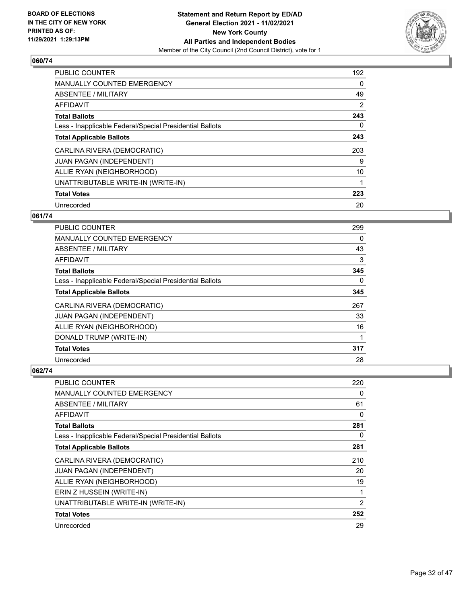

| <b>PUBLIC COUNTER</b>                                    | 192            |
|----------------------------------------------------------|----------------|
| <b>MANUALLY COUNTED EMERGENCY</b>                        | 0              |
| ABSENTEE / MILITARY                                      | 49             |
| <b>AFFIDAVIT</b>                                         | $\overline{2}$ |
| <b>Total Ballots</b>                                     | 243            |
| Less - Inapplicable Federal/Special Presidential Ballots | 0              |
| <b>Total Applicable Ballots</b>                          | 243            |
| CARLINA RIVERA (DEMOCRATIC)                              | 203            |
| <b>JUAN PAGAN (INDEPENDENT)</b>                          | 9              |
| ALLIE RYAN (NEIGHBORHOOD)                                | 10             |
| UNATTRIBUTABLE WRITE-IN (WRITE-IN)                       |                |
| <b>Total Votes</b>                                       | 223            |
| Unrecorded                                               | 20             |

# **061/74**

| PUBLIC COUNTER                                           | 299      |
|----------------------------------------------------------|----------|
| <b>MANUALLY COUNTED EMERGENCY</b>                        | 0        |
| ABSENTEE / MILITARY                                      | 43       |
| <b>AFFIDAVIT</b>                                         | 3        |
| <b>Total Ballots</b>                                     | 345      |
| Less - Inapplicable Federal/Special Presidential Ballots | $\Omega$ |
| <b>Total Applicable Ballots</b>                          | 345      |
| CARLINA RIVERA (DEMOCRATIC)                              | 267      |
| JUAN PAGAN (INDEPENDENT)                                 | 33       |
| ALLIE RYAN (NEIGHBORHOOD)                                | 16       |
| DONALD TRUMP (WRITE-IN)                                  |          |
| <b>Total Votes</b>                                       | 317      |
| Unrecorded                                               | 28       |

| PUBLIC COUNTER                                           | 220            |
|----------------------------------------------------------|----------------|
| MANUALLY COUNTED EMERGENCY                               | 0              |
| ABSENTEE / MILITARY                                      | 61             |
| AFFIDAVIT                                                | 0              |
| <b>Total Ballots</b>                                     | 281            |
| Less - Inapplicable Federal/Special Presidential Ballots | 0              |
| <b>Total Applicable Ballots</b>                          | 281            |
| CARLINA RIVERA (DEMOCRATIC)                              | 210            |
| JUAN PAGAN (INDEPENDENT)                                 | 20             |
| ALLIE RYAN (NEIGHBORHOOD)                                | 19             |
| ERIN Z HUSSEIN (WRITE-IN)                                |                |
| UNATTRIBUTABLE WRITE-IN (WRITE-IN)                       | $\overline{2}$ |
| <b>Total Votes</b>                                       | 252            |
| Unrecorded                                               | 29             |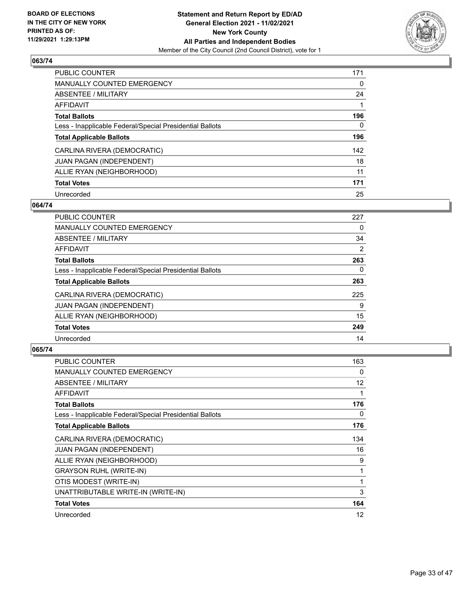

| PUBLIC COUNTER                                           | 171      |
|----------------------------------------------------------|----------|
| <b>MANUALLY COUNTED EMERGENCY</b>                        | $\Omega$ |
| ABSENTEE / MILITARY                                      | 24       |
| AFFIDAVIT                                                |          |
| <b>Total Ballots</b>                                     | 196      |
| Less - Inapplicable Federal/Special Presidential Ballots | 0        |
| <b>Total Applicable Ballots</b>                          | 196      |
| CARLINA RIVERA (DEMOCRATIC)                              | 142      |
| <b>JUAN PAGAN (INDEPENDENT)</b>                          | 18       |
| ALLIE RYAN (NEIGHBORHOOD)                                | 11       |
| <b>Total Votes</b>                                       | 171      |
| Unrecorded                                               | 25       |

## **064/74**

| <b>PUBLIC COUNTER</b>                                    | 227            |
|----------------------------------------------------------|----------------|
| <b>MANUALLY COUNTED EMERGENCY</b>                        | 0              |
| ABSENTEE / MILITARY                                      | 34             |
| <b>AFFIDAVIT</b>                                         | $\overline{2}$ |
| <b>Total Ballots</b>                                     | 263            |
| Less - Inapplicable Federal/Special Presidential Ballots | $\Omega$       |
| <b>Total Applicable Ballots</b>                          | 263            |
| CARLINA RIVERA (DEMOCRATIC)                              | 225            |
| <b>JUAN PAGAN (INDEPENDENT)</b>                          | 9              |
| ALLIE RYAN (NEIGHBORHOOD)                                | 15             |
| <b>Total Votes</b>                                       | 249            |
| Unrecorded                                               | 14             |

| <b>PUBLIC COUNTER</b>                                    | 163 |
|----------------------------------------------------------|-----|
| MANUALLY COUNTED EMERGENCY                               | 0   |
| ABSENTEE / MILITARY                                      | 12  |
| <b>AFFIDAVIT</b>                                         | 1   |
| <b>Total Ballots</b>                                     | 176 |
| Less - Inapplicable Federal/Special Presidential Ballots | 0   |
| <b>Total Applicable Ballots</b>                          | 176 |
| CARLINA RIVERA (DEMOCRATIC)                              | 134 |
| <b>JUAN PAGAN (INDEPENDENT)</b>                          | 16  |
| ALLIE RYAN (NEIGHBORHOOD)                                | 9   |
| <b>GRAYSON RUHL (WRITE-IN)</b>                           | 1   |
| OTIS MODEST (WRITE-IN)                                   | 1   |
| UNATTRIBUTABLE WRITE-IN (WRITE-IN)                       | 3   |
| <b>Total Votes</b>                                       | 164 |
| Unrecorded                                               | 12  |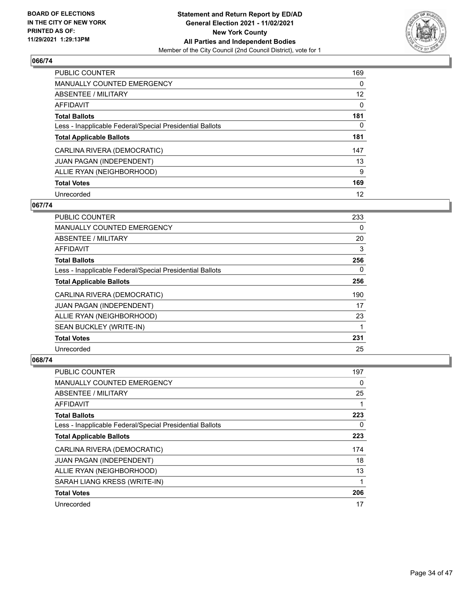

| PUBLIC COUNTER                                           | 169             |
|----------------------------------------------------------|-----------------|
| <b>MANUALLY COUNTED EMERGENCY</b>                        | 0               |
| ABSENTEE / MILITARY                                      | 12 <sup>2</sup> |
| AFFIDAVIT                                                | $\Omega$        |
| <b>Total Ballots</b>                                     | 181             |
| Less - Inapplicable Federal/Special Presidential Ballots | 0               |
| <b>Total Applicable Ballots</b>                          | 181             |
| CARLINA RIVERA (DEMOCRATIC)                              | 147             |
| <b>JUAN PAGAN (INDEPENDENT)</b>                          | 13              |
| ALLIE RYAN (NEIGHBORHOOD)                                | 9               |
| <b>Total Votes</b>                                       | 169             |
| Unrecorded                                               | 12              |

## **067/74**

| <b>PUBLIC COUNTER</b>                                    | 233 |
|----------------------------------------------------------|-----|
| <b>MANUALLY COUNTED EMERGENCY</b>                        | 0   |
| ABSENTEE / MILITARY                                      | 20  |
| AFFIDAVIT                                                | 3   |
| <b>Total Ballots</b>                                     | 256 |
| Less - Inapplicable Federal/Special Presidential Ballots | 0   |
| <b>Total Applicable Ballots</b>                          | 256 |
| CARLINA RIVERA (DEMOCRATIC)                              | 190 |
| JUAN PAGAN (INDEPENDENT)                                 | 17  |
| ALLIE RYAN (NEIGHBORHOOD)                                | 23  |
| SEAN BUCKLEY (WRITE-IN)                                  | 1   |
| <b>Total Votes</b>                                       | 231 |
| Unrecorded                                               | 25  |

| PUBLIC COUNTER                                           | 197      |
|----------------------------------------------------------|----------|
| MANUALLY COUNTED EMERGENCY                               | $\Omega$ |
| ABSENTEE / MILITARY                                      | 25       |
| AFFIDAVIT                                                |          |
| <b>Total Ballots</b>                                     | 223      |
| Less - Inapplicable Federal/Special Presidential Ballots | $\Omega$ |
| <b>Total Applicable Ballots</b>                          | 223      |
| CARLINA RIVERA (DEMOCRATIC)                              | 174      |
| <b>JUAN PAGAN (INDEPENDENT)</b>                          | 18       |
| ALLIE RYAN (NEIGHBORHOOD)                                | 13       |
| SARAH LIANG KRESS (WRITE-IN)                             | 1        |
| <b>Total Votes</b>                                       | 206      |
| Unrecorded                                               | 17       |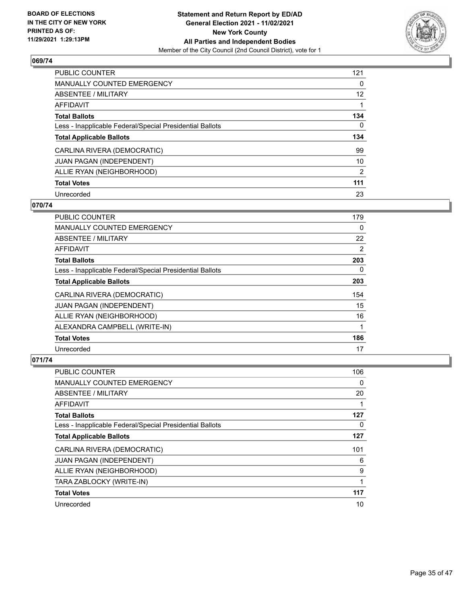

| <b>PUBLIC COUNTER</b>                                    | 121 |
|----------------------------------------------------------|-----|
| <b>MANUALLY COUNTED EMERGENCY</b>                        | 0   |
| ABSENTEE / MILITARY                                      | 12  |
| AFFIDAVIT                                                |     |
| <b>Total Ballots</b>                                     | 134 |
| Less - Inapplicable Federal/Special Presidential Ballots | 0   |
| <b>Total Applicable Ballots</b>                          | 134 |
| CARLINA RIVERA (DEMOCRATIC)                              | 99  |
| JUAN PAGAN (INDEPENDENT)                                 | 10  |
| ALLIE RYAN (NEIGHBORHOOD)                                | 2   |
| <b>Total Votes</b>                                       | 111 |
| Unrecorded                                               | 23  |

## **070/74**

| PUBLIC COUNTER                                           | 179      |
|----------------------------------------------------------|----------|
| <b>MANUALLY COUNTED EMERGENCY</b>                        | $\Omega$ |
| ABSENTEE / MILITARY                                      | 22       |
| <b>AFFIDAVIT</b>                                         | 2        |
| <b>Total Ballots</b>                                     | 203      |
| Less - Inapplicable Federal/Special Presidential Ballots | 0        |
| <b>Total Applicable Ballots</b>                          | 203      |
| CARLINA RIVERA (DEMOCRATIC)                              | 154      |
| JUAN PAGAN (INDEPENDENT)                                 | 15       |
| ALLIE RYAN (NEIGHBORHOOD)                                | 16       |
| ALEXANDRA CAMPBELL (WRITE-IN)                            | 1        |
| <b>Total Votes</b>                                       | 186      |
| Unrecorded                                               | 17       |

| <b>PUBLIC COUNTER</b>                                    | 106 |
|----------------------------------------------------------|-----|
| MANUALLY COUNTED EMERGENCY                               | 0   |
| ABSENTEE / MILITARY                                      | 20  |
| AFFIDAVIT                                                |     |
| <b>Total Ballots</b>                                     | 127 |
| Less - Inapplicable Federal/Special Presidential Ballots | 0   |
| <b>Total Applicable Ballots</b>                          | 127 |
| CARLINA RIVERA (DEMOCRATIC)                              | 101 |
| <b>JUAN PAGAN (INDEPENDENT)</b>                          | 6   |
| ALLIE RYAN (NEIGHBORHOOD)                                | 9   |
| TARA ZABLOCKY (WRITE-IN)                                 | 1   |
| <b>Total Votes</b>                                       | 117 |
| Unrecorded                                               | 10  |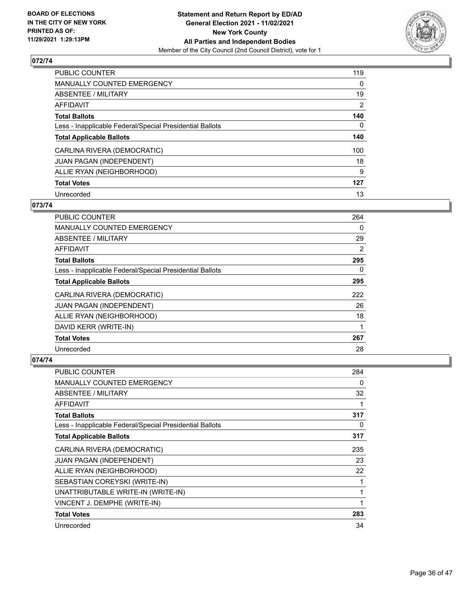

| <b>PUBLIC COUNTER</b>                                    | 119            |
|----------------------------------------------------------|----------------|
| <b>MANUALLY COUNTED EMERGENCY</b>                        | 0              |
| ABSENTEE / MILITARY                                      | 19             |
| AFFIDAVIT                                                | $\overline{2}$ |
| <b>Total Ballots</b>                                     | 140            |
| Less - Inapplicable Federal/Special Presidential Ballots | $\Omega$       |
| <b>Total Applicable Ballots</b>                          | 140            |
| CARLINA RIVERA (DEMOCRATIC)                              | 100            |
| <b>JUAN PAGAN (INDEPENDENT)</b>                          | 18             |
| ALLIE RYAN (NEIGHBORHOOD)                                | 9              |
| <b>Total Votes</b>                                       | 127            |
| Unrecorded                                               | 13             |

## **073/74**

| PUBLIC COUNTER                                           | 264      |
|----------------------------------------------------------|----------|
| <b>MANUALLY COUNTED EMERGENCY</b>                        | 0        |
| ABSENTEE / MILITARY                                      | 29       |
| AFFIDAVIT                                                | 2        |
| <b>Total Ballots</b>                                     | 295      |
| Less - Inapplicable Federal/Special Presidential Ballots | $\Omega$ |
| <b>Total Applicable Ballots</b>                          | 295      |
| CARLINA RIVERA (DEMOCRATIC)                              | 222      |
| JUAN PAGAN (INDEPENDENT)                                 | 26       |
| ALLIE RYAN (NEIGHBORHOOD)                                | 18       |
| DAVID KERR (WRITE-IN)                                    | 1        |
| <b>Total Votes</b>                                       | 267      |
| Unrecorded                                               | 28       |

| PUBLIC COUNTER                                           | 284 |
|----------------------------------------------------------|-----|
| <b>MANUALLY COUNTED EMERGENCY</b>                        | 0   |
| ABSENTEE / MILITARY                                      | 32  |
| AFFIDAVIT                                                |     |
| <b>Total Ballots</b>                                     | 317 |
| Less - Inapplicable Federal/Special Presidential Ballots | 0   |
| <b>Total Applicable Ballots</b>                          | 317 |
| CARLINA RIVERA (DEMOCRATIC)                              | 235 |
| <b>JUAN PAGAN (INDEPENDENT)</b>                          | 23  |
| ALLIE RYAN (NEIGHBORHOOD)                                | 22  |
| SEBASTIAN COREYSKI (WRITE-IN)                            | 1   |
| UNATTRIBUTABLE WRITE-IN (WRITE-IN)                       | 1   |
| VINCENT J. DEMPHE (WRITE-IN)                             | 1   |
| <b>Total Votes</b>                                       | 283 |
| Unrecorded                                               | 34  |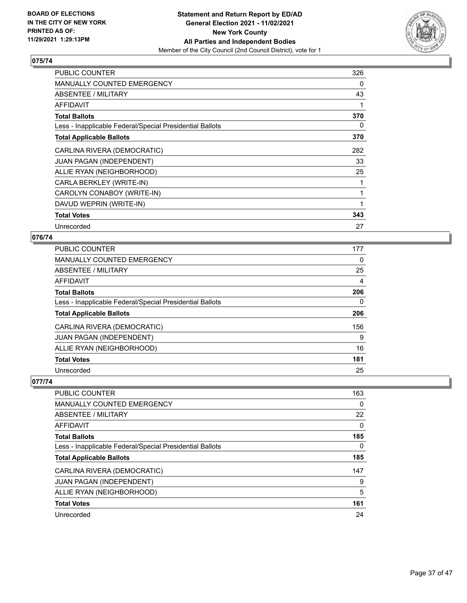

| PUBLIC COUNTER                                           | 326 |
|----------------------------------------------------------|-----|
| <b>MANUALLY COUNTED EMERGENCY</b>                        | 0   |
| ABSENTEE / MILITARY                                      | 43  |
| AFFIDAVIT                                                |     |
| <b>Total Ballots</b>                                     | 370 |
| Less - Inapplicable Federal/Special Presidential Ballots | 0   |
| <b>Total Applicable Ballots</b>                          | 370 |
| CARLINA RIVERA (DEMOCRATIC)                              | 282 |
| JUAN PAGAN (INDEPENDENT)                                 | 33  |
| ALLIE RYAN (NEIGHBORHOOD)                                | 25  |
| CARLA BERKLEY (WRITE-IN)                                 |     |
| CAROLYN CONABOY (WRITE-IN)                               | 1   |
| DAVUD WEPRIN (WRITE-IN)                                  | 1   |
| <b>Total Votes</b>                                       | 343 |
| Unrecorded                                               | 27  |

# **076/74**

| PUBLIC COUNTER                                           | 177      |
|----------------------------------------------------------|----------|
| MANUALLY COUNTED EMERGENCY                               | 0        |
| ABSENTEE / MILITARY                                      | 25       |
| AFFIDAVIT                                                | 4        |
| <b>Total Ballots</b>                                     | 206      |
| Less - Inapplicable Federal/Special Presidential Ballots | $\Omega$ |
| <b>Total Applicable Ballots</b>                          | 206      |
| CARLINA RIVERA (DEMOCRATIC)                              | 156      |
| <b>JUAN PAGAN (INDEPENDENT)</b>                          | 9        |
| ALLIE RYAN (NEIGHBORHOOD)                                | 16       |
| <b>Total Votes</b>                                       | 181      |
| Unrecorded                                               | 25       |

| PUBLIC COUNTER                                           | 163      |
|----------------------------------------------------------|----------|
| MANUALLY COUNTED EMERGENCY                               | $\Omega$ |
| ABSENTEE / MILITARY                                      | 22       |
| AFFIDAVIT                                                | 0        |
| <b>Total Ballots</b>                                     | 185      |
| Less - Inapplicable Federal/Special Presidential Ballots | 0        |
| <b>Total Applicable Ballots</b>                          | 185      |
| CARLINA RIVERA (DEMOCRATIC)                              | 147      |
| JUAN PAGAN (INDEPENDENT)                                 | 9        |
| ALLIE RYAN (NEIGHBORHOOD)                                | 5        |
| <b>Total Votes</b>                                       | 161      |
| Unrecorded                                               | 24       |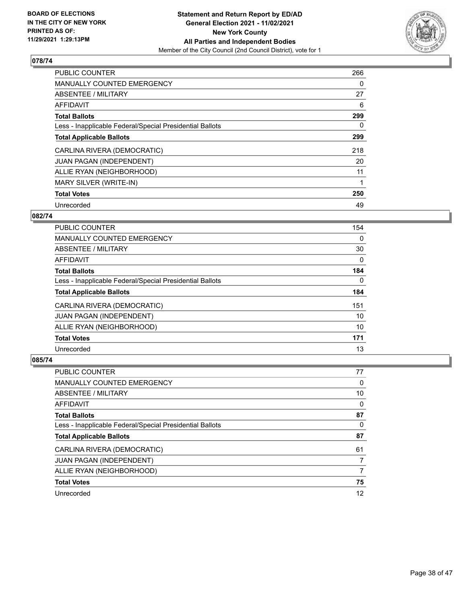

| <b>PUBLIC COUNTER</b>                                    | 266 |
|----------------------------------------------------------|-----|
| MANUALLY COUNTED EMERGENCY                               | 0   |
| ABSENTEE / MILITARY                                      | 27  |
| AFFIDAVIT                                                | 6   |
| <b>Total Ballots</b>                                     | 299 |
| Less - Inapplicable Federal/Special Presidential Ballots | 0   |
| <b>Total Applicable Ballots</b>                          | 299 |
| CARLINA RIVERA (DEMOCRATIC)                              | 218 |
| JUAN PAGAN (INDEPENDENT)                                 | 20  |
| ALLIE RYAN (NEIGHBORHOOD)                                | 11  |
| MARY SILVER (WRITE-IN)                                   | 1   |
| <b>Total Votes</b>                                       | 250 |
| Unrecorded                                               | 49  |

## **082/74**

| <b>PUBLIC COUNTER</b>                                    | 154      |
|----------------------------------------------------------|----------|
| <b>MANUALLY COUNTED EMERGENCY</b>                        | 0        |
| ABSENTEE / MILITARY                                      | 30       |
| AFFIDAVIT                                                | $\Omega$ |
| <b>Total Ballots</b>                                     | 184      |
| Less - Inapplicable Federal/Special Presidential Ballots | 0        |
| <b>Total Applicable Ballots</b>                          | 184      |
| CARLINA RIVERA (DEMOCRATIC)                              | 151      |
| JUAN PAGAN (INDEPENDENT)                                 | 10       |
| ALLIE RYAN (NEIGHBORHOOD)                                | 10       |
| <b>Total Votes</b>                                       | 171      |
| Unrecorded                                               | 13       |

| <b>PUBLIC COUNTER</b>                                    | 77 |
|----------------------------------------------------------|----|
| <b>MANUALLY COUNTED EMERGENCY</b>                        | 0  |
| ABSENTEE / MILITARY                                      | 10 |
| AFFIDAVIT                                                | 0  |
| <b>Total Ballots</b>                                     | 87 |
| Less - Inapplicable Federal/Special Presidential Ballots | 0  |
| <b>Total Applicable Ballots</b>                          | 87 |
| CARLINA RIVERA (DEMOCRATIC)                              | 61 |
| <b>JUAN PAGAN (INDEPENDENT)</b>                          | 7  |
| ALLIE RYAN (NEIGHBORHOOD)                                | 7  |
| <b>Total Votes</b>                                       | 75 |
| Unrecorded                                               | 12 |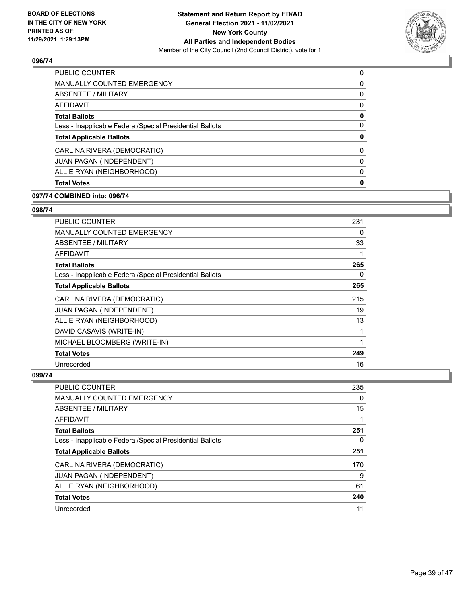

| PUBLIC COUNTER                                           | 0        |
|----------------------------------------------------------|----------|
| <b>MANUALLY COUNTED EMERGENCY</b>                        | 0        |
| ABSENTEE / MILITARY                                      | 0        |
| AFFIDAVIT                                                | 0        |
| <b>Total Ballots</b>                                     | 0        |
| Less - Inapplicable Federal/Special Presidential Ballots | 0        |
| <b>Total Applicable Ballots</b>                          | 0        |
| CARLINA RIVERA (DEMOCRATIC)                              | $\Omega$ |
| <b>JUAN PAGAN (INDEPENDENT)</b>                          | 0        |
| ALLIE RYAN (NEIGHBORHOOD)                                | 0        |
| <b>Total Votes</b>                                       | 0        |
|                                                          |          |

#### **097/74 COMBINED into: 096/74**

#### **098/74**

| <b>PUBLIC COUNTER</b>                                    | 231 |
|----------------------------------------------------------|-----|
| MANUALLY COUNTED EMERGENCY                               | 0   |
| ABSENTEE / MILITARY                                      | 33  |
| <b>AFFIDAVIT</b>                                         | 1   |
| <b>Total Ballots</b>                                     | 265 |
| Less - Inapplicable Federal/Special Presidential Ballots | 0   |
| <b>Total Applicable Ballots</b>                          | 265 |
| CARLINA RIVERA (DEMOCRATIC)                              | 215 |
| <b>JUAN PAGAN (INDEPENDENT)</b>                          | 19  |
| ALLIE RYAN (NEIGHBORHOOD)                                | 13  |
| DAVID CASAVIS (WRITE-IN)                                 | 1   |
| MICHAEL BLOOMBERG (WRITE-IN)                             | 1   |
| <b>Total Votes</b>                                       | 249 |
| Unrecorded                                               | 16  |

| <b>PUBLIC COUNTER</b>                                    | 235      |
|----------------------------------------------------------|----------|
| <b>MANUALLY COUNTED EMERGENCY</b>                        | $\Omega$ |
| ABSENTEE / MILITARY                                      | 15       |
| AFFIDAVIT                                                |          |
| <b>Total Ballots</b>                                     | 251      |
| Less - Inapplicable Federal/Special Presidential Ballots | 0        |
| <b>Total Applicable Ballots</b>                          | 251      |
| CARLINA RIVERA (DEMOCRATIC)                              | 170      |
| <b>JUAN PAGAN (INDEPENDENT)</b>                          | 9        |
| ALLIE RYAN (NEIGHBORHOOD)                                | 61       |
| <b>Total Votes</b>                                       | 240      |
| Unrecorded                                               | 11       |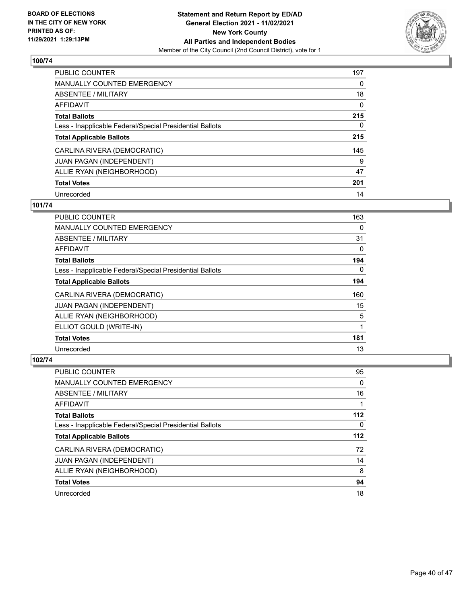

| PUBLIC COUNTER                                           | 197      |
|----------------------------------------------------------|----------|
| MANUALLY COUNTED EMERGENCY                               | $\Omega$ |
| ABSENTEE / MILITARY                                      | 18       |
| AFFIDAVIT                                                | 0        |
| <b>Total Ballots</b>                                     | 215      |
| Less - Inapplicable Federal/Special Presidential Ballots | 0        |
| <b>Total Applicable Ballots</b>                          | 215      |
| CARLINA RIVERA (DEMOCRATIC)                              | 145      |
| <b>JUAN PAGAN (INDEPENDENT)</b>                          | 9        |
| ALLIE RYAN (NEIGHBORHOOD)                                | 47       |
| <b>Total Votes</b>                                       | 201      |
| Unrecorded                                               | 14       |

## **101/74**

| PUBLIC COUNTER                                           | 163      |
|----------------------------------------------------------|----------|
| <b>MANUALLY COUNTED EMERGENCY</b>                        | 0        |
| ABSENTEE / MILITARY                                      | 31       |
| <b>AFFIDAVIT</b>                                         | 0        |
| <b>Total Ballots</b>                                     | 194      |
| Less - Inapplicable Federal/Special Presidential Ballots | $\Omega$ |
| <b>Total Applicable Ballots</b>                          | 194      |
| CARLINA RIVERA (DEMOCRATIC)                              | 160      |
| JUAN PAGAN (INDEPENDENT)                                 | 15       |
| ALLIE RYAN (NEIGHBORHOOD)                                | 5        |
| ELLIOT GOULD (WRITE-IN)                                  |          |
| <b>Total Votes</b>                                       | 181      |
| Unrecorded                                               | 13       |

| PUBLIC COUNTER                                           | 95       |
|----------------------------------------------------------|----------|
| <b>MANUALLY COUNTED EMERGENCY</b>                        | $\Omega$ |
| ABSENTEE / MILITARY                                      | 16       |
| AFFIDAVIT                                                |          |
| <b>Total Ballots</b>                                     | 112      |
| Less - Inapplicable Federal/Special Presidential Ballots | 0        |
| <b>Total Applicable Ballots</b>                          | $112$    |
| CARLINA RIVERA (DEMOCRATIC)                              | 72       |
| JUAN PAGAN (INDEPENDENT)                                 | 14       |
| ALLIE RYAN (NEIGHBORHOOD)                                | 8        |
| <b>Total Votes</b>                                       | 94       |
| Unrecorded                                               | 18       |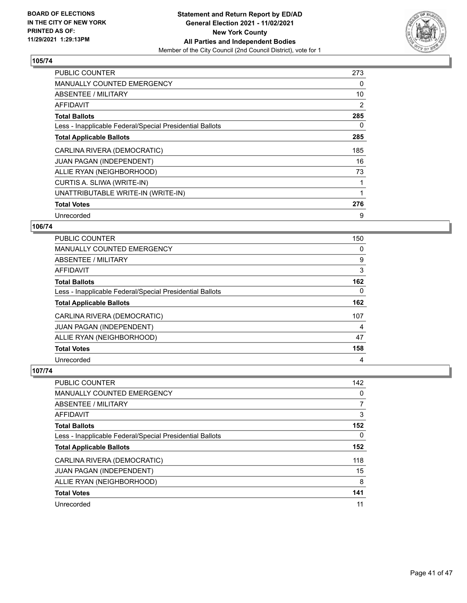

| <b>PUBLIC COUNTER</b>                                    | 273 |
|----------------------------------------------------------|-----|
| <b>MANUALLY COUNTED EMERGENCY</b>                        | 0   |
| ABSENTEE / MILITARY                                      | 10  |
| AFFIDAVIT                                                | 2   |
| <b>Total Ballots</b>                                     | 285 |
| Less - Inapplicable Federal/Special Presidential Ballots | 0   |
| <b>Total Applicable Ballots</b>                          | 285 |
| CARLINA RIVERA (DEMOCRATIC)                              | 185 |
| <b>JUAN PAGAN (INDEPENDENT)</b>                          | 16  |
| ALLIE RYAN (NEIGHBORHOOD)                                | 73  |
| CURTIS A. SLIWA (WRITE-IN)                               | 1   |
| UNATTRIBUTABLE WRITE-IN (WRITE-IN)                       |     |
| <b>Total Votes</b>                                       | 276 |
| Unrecorded                                               | 9   |

# **106/74**

| <b>PUBLIC COUNTER</b>                                    | 150 |
|----------------------------------------------------------|-----|
| <b>MANUALLY COUNTED EMERGENCY</b>                        | 0   |
| ABSENTEE / MILITARY                                      | 9   |
| AFFIDAVIT                                                | 3   |
| <b>Total Ballots</b>                                     | 162 |
| Less - Inapplicable Federal/Special Presidential Ballots | 0   |
| <b>Total Applicable Ballots</b>                          | 162 |
| CARLINA RIVERA (DEMOCRATIC)                              | 107 |
| <b>JUAN PAGAN (INDEPENDENT)</b>                          | 4   |
| ALLIE RYAN (NEIGHBORHOOD)                                | 47  |
| <b>Total Votes</b>                                       | 158 |
| Unrecorded                                               | 4   |

| PUBLIC COUNTER                                           | 142 |
|----------------------------------------------------------|-----|
| <b>MANUALLY COUNTED EMERGENCY</b>                        | 0   |
| ABSENTEE / MILITARY                                      |     |
| AFFIDAVIT                                                | 3   |
| <b>Total Ballots</b>                                     | 152 |
| Less - Inapplicable Federal/Special Presidential Ballots | 0   |
| <b>Total Applicable Ballots</b>                          | 152 |
| CARLINA RIVERA (DEMOCRATIC)                              | 118 |
|                                                          |     |
| <b>JUAN PAGAN (INDEPENDENT)</b>                          | 15  |
| ALLIE RYAN (NEIGHBORHOOD)                                | 8   |
| <b>Total Votes</b>                                       | 141 |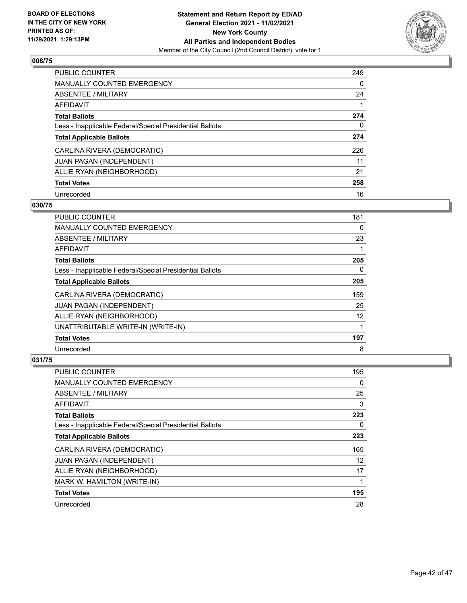

| <b>PUBLIC COUNTER</b>                                    | 249      |
|----------------------------------------------------------|----------|
| <b>MANUALLY COUNTED EMERGENCY</b>                        | $\Omega$ |
| ABSENTEE / MILITARY                                      | 24       |
| AFFIDAVIT                                                |          |
| <b>Total Ballots</b>                                     | 274      |
| Less - Inapplicable Federal/Special Presidential Ballots | 0        |
| <b>Total Applicable Ballots</b>                          | 274      |
| CARLINA RIVERA (DEMOCRATIC)                              | 226      |
| <b>JUAN PAGAN (INDEPENDENT)</b>                          | 11       |
| ALLIE RYAN (NEIGHBORHOOD)                                | 21       |
| <b>Total Votes</b>                                       | 258      |
| Unrecorded                                               | 16       |

## **030/75**

| <b>PUBLIC COUNTER</b>                                    | 181      |
|----------------------------------------------------------|----------|
| <b>MANUALLY COUNTED EMERGENCY</b>                        | 0        |
| ABSENTEE / MILITARY                                      | 23       |
| AFFIDAVIT                                                |          |
| <b>Total Ballots</b>                                     | 205      |
| Less - Inapplicable Federal/Special Presidential Ballots | $\Omega$ |
| <b>Total Applicable Ballots</b>                          | 205      |
| CARLINA RIVERA (DEMOCRATIC)                              | 159      |
| <b>JUAN PAGAN (INDEPENDENT)</b>                          | 25       |
| ALLIE RYAN (NEIGHBORHOOD)                                | 12       |
| UNATTRIBUTABLE WRITE-IN (WRITE-IN)                       |          |
| <b>Total Votes</b>                                       | 197      |
| Unrecorded                                               | 8        |

| PUBLIC COUNTER                                           | 195      |
|----------------------------------------------------------|----------|
| MANUALLY COUNTED EMERGENCY                               | $\Omega$ |
| ABSENTEE / MILITARY                                      | 25       |
| AFFIDAVIT                                                | 3        |
| <b>Total Ballots</b>                                     | 223      |
| Less - Inapplicable Federal/Special Presidential Ballots | 0        |
| <b>Total Applicable Ballots</b>                          | 223      |
| CARLINA RIVERA (DEMOCRATIC)                              | 165      |
| <b>JUAN PAGAN (INDEPENDENT)</b>                          | 12       |
| ALLIE RYAN (NEIGHBORHOOD)                                | 17       |
| MARK W. HAMILTON (WRITE-IN)                              | 1        |
| <b>Total Votes</b>                                       | 195      |
| Unrecorded                                               | 28       |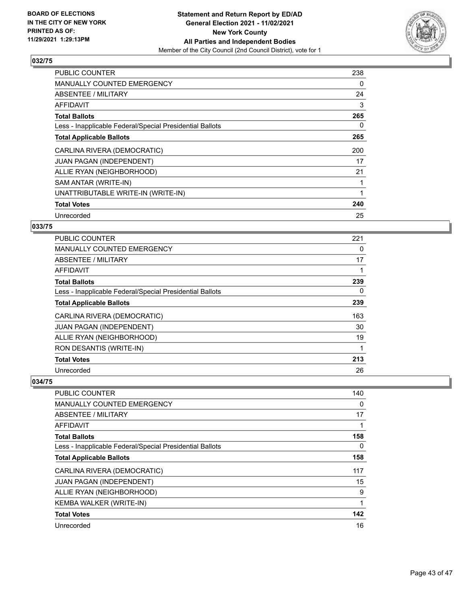

| <b>PUBLIC COUNTER</b>                                    | 238 |
|----------------------------------------------------------|-----|
| <b>MANUALLY COUNTED EMERGENCY</b>                        | 0   |
| ABSENTEE / MILITARY                                      | 24  |
| AFFIDAVIT                                                | 3   |
| <b>Total Ballots</b>                                     | 265 |
| Less - Inapplicable Federal/Special Presidential Ballots | 0   |
| <b>Total Applicable Ballots</b>                          | 265 |
| CARLINA RIVERA (DEMOCRATIC)                              | 200 |
| JUAN PAGAN (INDEPENDENT)                                 | 17  |
| ALLIE RYAN (NEIGHBORHOOD)                                | 21  |
| SAM ANTAR (WRITE-IN)                                     |     |
| UNATTRIBUTABLE WRITE-IN (WRITE-IN)                       |     |
| <b>Total Votes</b>                                       | 240 |
| Unrecorded                                               | 25  |

# **033/75**

| PUBLIC COUNTER                                           | 221      |
|----------------------------------------------------------|----------|
| <b>MANUALLY COUNTED EMERGENCY</b>                        | 0        |
| ABSENTEE / MILITARY                                      | 17       |
| AFFIDAVIT                                                |          |
| <b>Total Ballots</b>                                     | 239      |
| Less - Inapplicable Federal/Special Presidential Ballots | $\Omega$ |
| <b>Total Applicable Ballots</b>                          | 239      |
| CARLINA RIVERA (DEMOCRATIC)                              | 163      |
| JUAN PAGAN (INDEPENDENT)                                 | 30       |
| ALLIE RYAN (NEIGHBORHOOD)                                | 19       |
| RON DESANTIS (WRITE-IN)                                  | 1        |
| <b>Total Votes</b>                                       | 213      |
| Unrecorded                                               | 26       |

| PUBLIC COUNTER                                           | 140      |
|----------------------------------------------------------|----------|
| <b>MANUALLY COUNTED EMERGENCY</b>                        | $\Omega$ |
| ABSENTEE / MILITARY                                      | 17       |
| AFFIDAVIT                                                |          |
| <b>Total Ballots</b>                                     | 158      |
| Less - Inapplicable Federal/Special Presidential Ballots | 0        |
| <b>Total Applicable Ballots</b>                          | 158      |
| CARLINA RIVERA (DEMOCRATIC)                              | 117      |
| JUAN PAGAN (INDEPENDENT)                                 | 15       |
| ALLIE RYAN (NEIGHBORHOOD)                                | 9        |
| KEMBA WALKER (WRITE-IN)                                  | 1        |
| <b>Total Votes</b>                                       | 142      |
| Unrecorded                                               | 16       |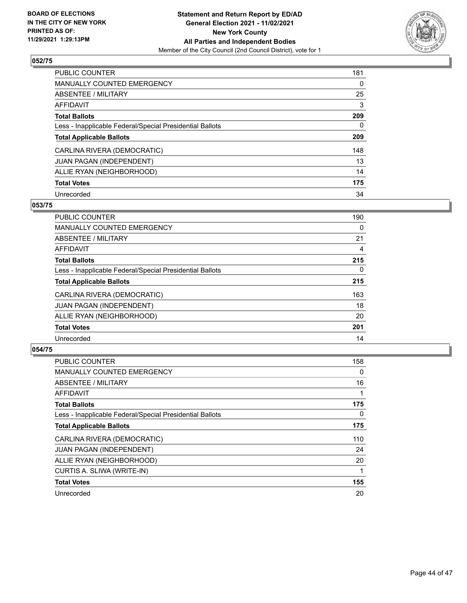

| <b>PUBLIC COUNTER</b>                                    | 181      |
|----------------------------------------------------------|----------|
| <b>MANUALLY COUNTED EMERGENCY</b>                        | $\Omega$ |
| ABSENTEE / MILITARY                                      | 25       |
| AFFIDAVIT                                                | 3        |
| <b>Total Ballots</b>                                     | 209      |
| Less - Inapplicable Federal/Special Presidential Ballots | 0        |
| <b>Total Applicable Ballots</b>                          | 209      |
| CARLINA RIVERA (DEMOCRATIC)                              | 148      |
| JUAN PAGAN (INDEPENDENT)                                 | 13       |
| ALLIE RYAN (NEIGHBORHOOD)                                | 14       |
| <b>Total Votes</b>                                       | 175      |
| Unrecorded                                               | 34       |

#### **053/75**

| <b>PUBLIC COUNTER</b>                                    | 190      |
|----------------------------------------------------------|----------|
| <b>MANUALLY COUNTED EMERGENCY</b>                        | 0        |
| ABSENTEE / MILITARY                                      | 21       |
| <b>AFFIDAVIT</b>                                         | 4        |
| <b>Total Ballots</b>                                     | 215      |
| Less - Inapplicable Federal/Special Presidential Ballots | $\Omega$ |
| <b>Total Applicable Ballots</b>                          | 215      |
| CARLINA RIVERA (DEMOCRATIC)                              | 163      |
| JUAN PAGAN (INDEPENDENT)                                 | 18       |
| ALLIE RYAN (NEIGHBORHOOD)                                | 20       |
| <b>Total Votes</b>                                       | 201      |
| Unrecorded                                               | 14       |

| PUBLIC COUNTER                                           | 158 |
|----------------------------------------------------------|-----|
| <b>MANUALLY COUNTED EMERGENCY</b>                        | 0   |
| ABSENTEE / MILITARY                                      | 16  |
| AFFIDAVIT                                                |     |
| <b>Total Ballots</b>                                     | 175 |
| Less - Inapplicable Federal/Special Presidential Ballots | 0   |
| <b>Total Applicable Ballots</b>                          | 175 |
| CARLINA RIVERA (DEMOCRATIC)                              | 110 |
| JUAN PAGAN (INDEPENDENT)                                 | 24  |
| ALLIE RYAN (NEIGHBORHOOD)                                | 20  |
| CURTIS A. SLIWA (WRITE-IN)                               |     |
| <b>Total Votes</b>                                       | 155 |
| Unrecorded                                               | 20  |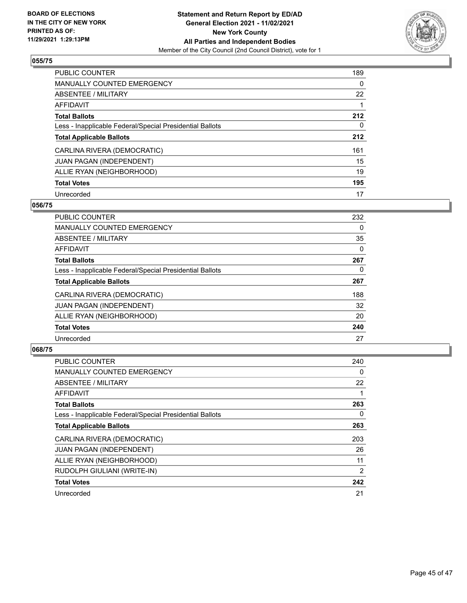

| PUBLIC COUNTER                                           | 189      |
|----------------------------------------------------------|----------|
| <b>MANUALLY COUNTED EMERGENCY</b>                        | $\Omega$ |
| ABSENTEE / MILITARY                                      | 22       |
| <b>AFFIDAVIT</b>                                         |          |
| <b>Total Ballots</b>                                     | 212      |
| Less - Inapplicable Federal/Special Presidential Ballots | 0        |
| <b>Total Applicable Ballots</b>                          | 212      |
| CARLINA RIVERA (DEMOCRATIC)                              | 161      |
| <b>JUAN PAGAN (INDEPENDENT)</b>                          | 15       |
| ALLIE RYAN (NEIGHBORHOOD)                                | 19       |
| <b>Total Votes</b>                                       | 195      |
| Unrecorded                                               | 17       |

## **056/75**

| <b>PUBLIC COUNTER</b>                                    | 232 |
|----------------------------------------------------------|-----|
| <b>MANUALLY COUNTED EMERGENCY</b>                        | 0   |
| ABSENTEE / MILITARY                                      | 35  |
| <b>AFFIDAVIT</b>                                         | 0   |
| <b>Total Ballots</b>                                     | 267 |
| Less - Inapplicable Federal/Special Presidential Ballots | 0   |
| <b>Total Applicable Ballots</b>                          | 267 |
| CARLINA RIVERA (DEMOCRATIC)                              | 188 |
| JUAN PAGAN (INDEPENDENT)                                 | 32  |
| ALLIE RYAN (NEIGHBORHOOD)                                | 20  |
| <b>Total Votes</b>                                       | 240 |
| Unrecorded                                               | 27  |

| PUBLIC COUNTER                                           | 240 |
|----------------------------------------------------------|-----|
| <b>MANUALLY COUNTED EMERGENCY</b>                        | 0   |
| ABSENTEE / MILITARY                                      | 22  |
| AFFIDAVIT                                                |     |
| <b>Total Ballots</b>                                     | 263 |
| Less - Inapplicable Federal/Special Presidential Ballots | 0   |
| <b>Total Applicable Ballots</b>                          | 263 |
| CARLINA RIVERA (DEMOCRATIC)                              | 203 |
| <b>JUAN PAGAN (INDEPENDENT)</b>                          | 26  |
| ALLIE RYAN (NEIGHBORHOOD)                                | 11  |
| RUDOLPH GIULIANI (WRITE-IN)                              | 2   |
| <b>Total Votes</b>                                       | 242 |
| Unrecorded                                               | 21  |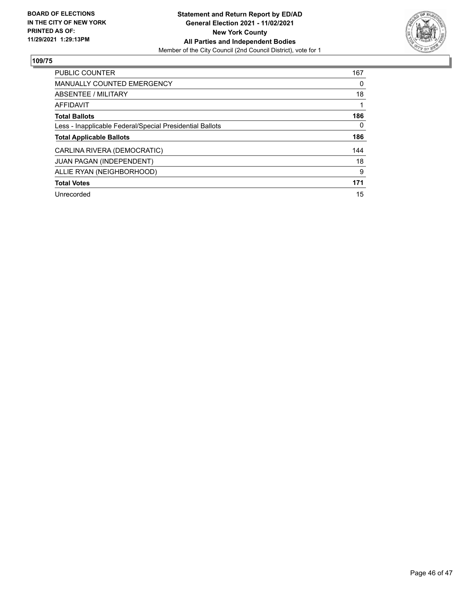

| <b>PUBLIC COUNTER</b>                                    | 167 |
|----------------------------------------------------------|-----|
| <b>MANUALLY COUNTED EMERGENCY</b>                        | 0   |
| ABSENTEE / MILITARY                                      | 18  |
| <b>AFFIDAVIT</b>                                         |     |
| <b>Total Ballots</b>                                     | 186 |
| Less - Inapplicable Federal/Special Presidential Ballots | 0   |
| <b>Total Applicable Ballots</b>                          | 186 |
| CARLINA RIVERA (DEMOCRATIC)                              | 144 |
| JUAN PAGAN (INDEPENDENT)                                 | 18  |
| ALLIE RYAN (NEIGHBORHOOD)                                | 9   |
| <b>Total Votes</b>                                       | 171 |
| Unrecorded                                               | 15  |